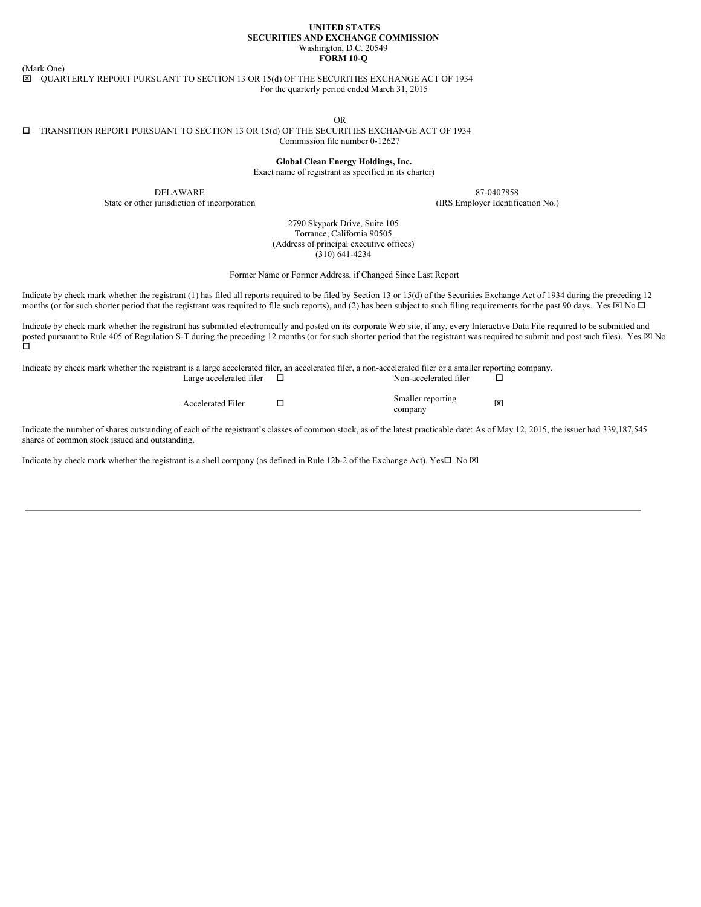#### **UNITED STATES SECURITIES AND EXCHANGE COMMISSION** Washington, D.C. 20549 **FORM 10-Q**

(Mark One)

 $\boxtimes$  QUARTERLY REPORT PURSUANT TO SECTION 13 OR 15(d) OF THE SECURITIES EXCHANGE ACT OF 1934 For the quarterly period ended March 31, 2015

OR

 $\square$  TRANSITION REPORT PURSUANT TO SECTION 13 OR 15(d) OF THE SECURITIES EXCHANGE ACT OF 1934 Commission file number 0-12627

**Global Clean Energy Holdings, Inc.**

Exact name of registrant as specified in its charter)

DELAWARE State or other jurisdiction of incorporation

87-0407858 (IRS Employer Identification No.)

2790 Skypark Drive, Suite 105 Torrance, California 90505 (Address of principal executive offices) (310) 641-4234

Former Name or Former Address, if Changed Since Last Report

Indicate by check mark whether the registrant (1) has filed all reports required to be filed by Section 13 or 15(d) of the Securities Exchange Act of 1934 during the preceding 12 months (or for such shorter period that the registrant was required to file such reports), and (2) has been subject to such filing requirements for the past 90 days. Yes  $\boxtimes$  No  $\Box$ 

Indicate by check mark whether the registrant has submitted electronically and posted on its corporate Web site, if any, every Interactive Data File required to be submitted and posted pursuant to Rule 405 of Regulation S-T during the preceding 12 months (or for such shorter period that the registrant was required to submit and post such files). Yes  $\boxtimes$  No o

Indicate by check mark whether the registrant is a large accelerated filer, an accelerated filer, a non-accelerated filer or a smaller reporting company. Large accelerated filer  $\Box$  Non-accelerated filer  $\Box$ 

| <b>Accelerated Filer</b> |  | Smaller reporting<br>company | 冈 |
|--------------------------|--|------------------------------|---|
|--------------------------|--|------------------------------|---|

Indicate the number of shares outstanding of each of the registrant's classes of common stock, as of the latest practicable date: As of May 12, 2015, the issuer had 339,187,545 shares of common stock issued and outstanding.

Indicate by check mark whether the registrant is a shell company (as defined in Rule 12b-2 of the Exchange Act). Yes $\Box$  No  $\boxtimes$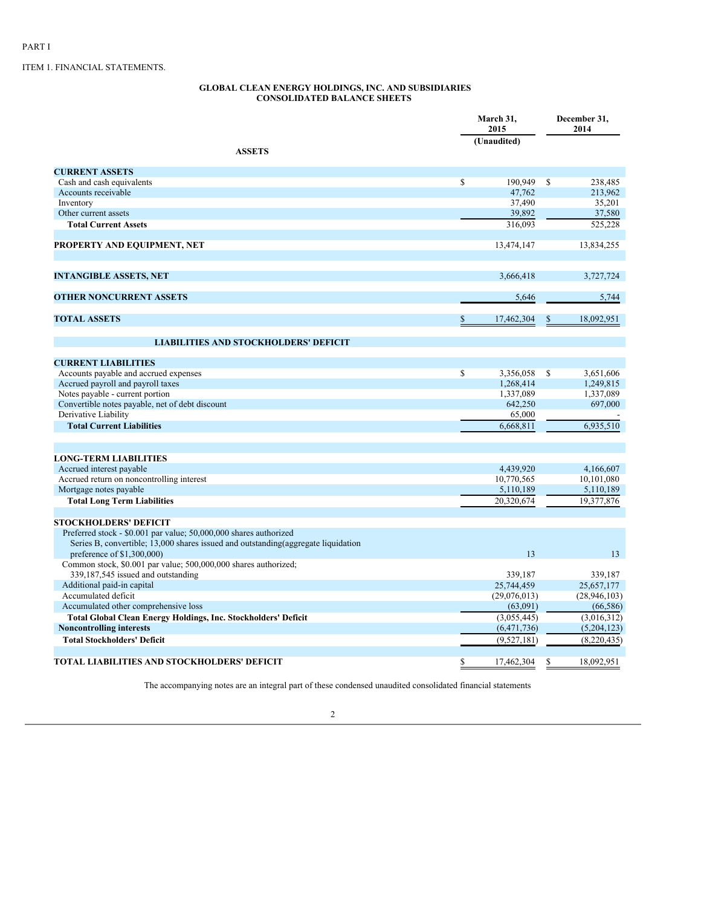ITEM 1. FINANCIAL STATEMENTS.

#### **GLOBAL CLEAN ENERGY HOLDINGS, INC. AND SUBSIDIARIES CONSOLIDATED BALANCE SHEETS**

|                                                                                                                                                         | March 31,<br>2015 |    | December 31,<br>2014 |
|---------------------------------------------------------------------------------------------------------------------------------------------------------|-------------------|----|----------------------|
|                                                                                                                                                         | (Unaudited)       |    |                      |
| <b>ASSETS</b>                                                                                                                                           |                   |    |                      |
| <b>CURRENT ASSETS</b>                                                                                                                                   |                   |    |                      |
| Cash and cash equivalents                                                                                                                               | \$<br>190,949     | \$ | 238,485              |
| Accounts receivable                                                                                                                                     | 47,762            |    | 213,962              |
| Inventory                                                                                                                                               | 37,490            |    | 35,201               |
| Other current assets                                                                                                                                    | 39,892            |    | 37,580               |
| <b>Total Current Assets</b>                                                                                                                             | 316,093           |    | 525,228              |
| PROPERTY AND EQUIPMENT, NET                                                                                                                             | 13,474,147        |    | 13,834,255           |
| <b>INTANGIBLE ASSETS, NET</b>                                                                                                                           | 3,666,418         |    | 3,727,724            |
|                                                                                                                                                         |                   |    |                      |
| <b>OTHER NONCURRENT ASSETS</b>                                                                                                                          | 5,646             |    | 5,744                |
| <b>TOTAL ASSETS</b>                                                                                                                                     | \$<br>17,462,304  |    | 18,092,951           |
| <b>LIABILITIES AND STOCKHOLDERS' DEFICIT</b>                                                                                                            |                   |    |                      |
| <b>CURRENT LIABILITIES</b>                                                                                                                              |                   |    |                      |
| Accounts payable and accrued expenses                                                                                                                   | \$<br>3,356,058   | -S | 3,651,606            |
| Accrued payroll and payroll taxes                                                                                                                       | 1,268,414         |    | 1,249,815            |
| Notes payable - current portion                                                                                                                         | 1,337,089         |    | 1,337,089            |
| Convertible notes payable, net of debt discount                                                                                                         | 642,250           |    | 697,000              |
| Derivative Liability                                                                                                                                    | 65,000            |    |                      |
| <b>Total Current Liabilities</b>                                                                                                                        | 6,668,811         |    | 6,935,510            |
| <b>LONG-TERM LIABILITIES</b>                                                                                                                            |                   |    |                      |
| Accrued interest payable                                                                                                                                | 4,439,920         |    | 4,166,607            |
| Accrued return on noncontrolling interest                                                                                                               | 10,770,565        |    | 10,101,080           |
| Mortgage notes payable                                                                                                                                  | 5,110,189         |    | 5,110,189            |
| <b>Total Long Term Liabilities</b>                                                                                                                      | 20,320,674        |    | 19,377,876           |
|                                                                                                                                                         |                   |    |                      |
| <b>STOCKHOLDERS' DEFICIT</b>                                                                                                                            |                   |    |                      |
| Preferred stock - \$0.001 par value; 50,000,000 shares authorized<br>Series B, convertible; 13,000 shares issued and outstanding (aggregate liquidation |                   |    |                      |
| preference of \$1,300,000)                                                                                                                              | 13                |    | 13                   |
| Common stock, \$0.001 par value; 500,000,000 shares authorized;<br>339,187,545 issued and outstanding                                                   | 339,187           |    | 339,187              |
| Additional paid-in capital                                                                                                                              | 25,744,459        |    | 25,657,177           |
| Accumulated deficit                                                                                                                                     | (29,076,013)      |    | (28, 946, 103)       |
| Accumulated other comprehensive loss                                                                                                                    | (63,091)          |    | (66, 586)            |
| Total Global Clean Energy Holdings, Inc. Stockholders' Deficit                                                                                          | (3,055,445)       |    | (3,016,312)          |
| <b>Noncontrolling interests</b>                                                                                                                         | (6,471,736)       |    | (5,204,123)          |
| <b>Total Stockholders' Deficit</b>                                                                                                                      | (9,527,181)       |    | (8,220,435)          |
| TOTAL LIABILITIES AND STOCKHOLDERS' DEFICIT                                                                                                             | \$<br>17,462,304  | \$ | 18,092,951           |

The accompanying notes are an integral part of these condensed unaudited consolidated financial statements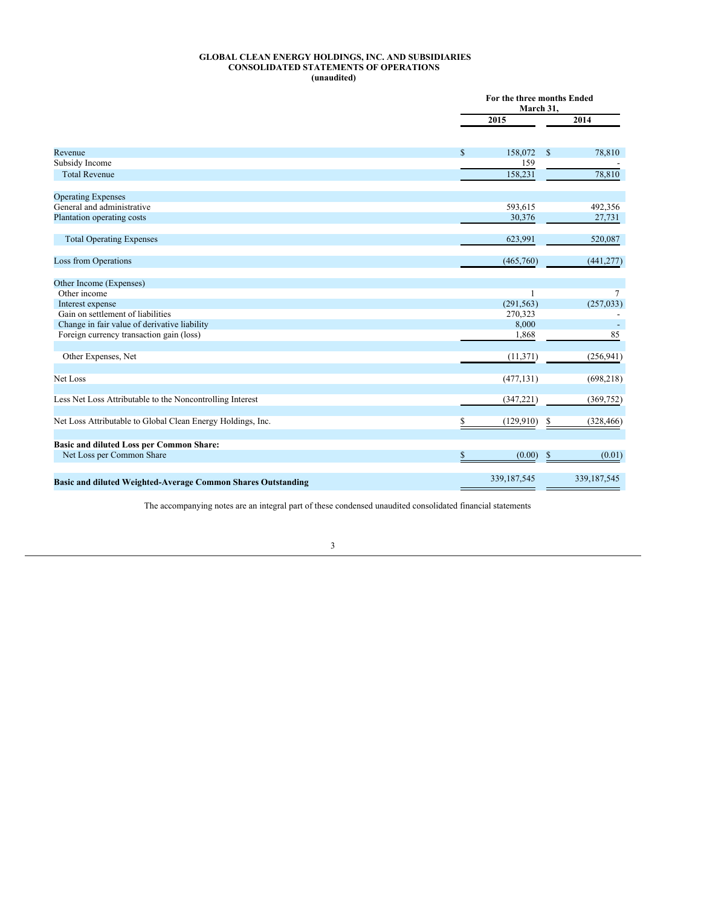#### **GLOBAL CLEAN ENERGY HOLDINGS, INC. AND SUBSIDIARIES CONSOLIDATED STATEMENTS OF OPERATIONS (unaudited)**

|                                                              | For the three months Ended<br>March 31, |               |  |
|--------------------------------------------------------------|-----------------------------------------|---------------|--|
|                                                              | 2015                                    | 2014          |  |
| Revenue                                                      | \$<br>158,072<br>$\mathbb{S}$           | 78,810        |  |
| Subsidy Income                                               | 159                                     |               |  |
| <b>Total Revenue</b>                                         | 158,231                                 | 78,810        |  |
| <b>Operating Expenses</b>                                    |                                         |               |  |
| General and administrative                                   | 593,615                                 | 492,356       |  |
| Plantation operating costs                                   | 30,376                                  | 27,731        |  |
| <b>Total Operating Expenses</b>                              | 623,991                                 | 520,087       |  |
| <b>Loss from Operations</b>                                  | (465,760)                               | (441, 277)    |  |
| Other Income (Expenses)                                      |                                         |               |  |
| Other income                                                 | 1                                       | 7             |  |
| Interest expense                                             | (291, 563)                              | (257, 033)    |  |
| Gain on settlement of liabilities                            | 270,323                                 |               |  |
| Change in fair value of derivative liability                 | 8,000                                   |               |  |
| Foreign currency transaction gain (loss)                     | 1,868                                   | 85            |  |
| Other Expenses, Net                                          | (11, 371)                               | (256, 941)    |  |
| Net Loss                                                     | (477, 131)                              | (698, 218)    |  |
| Less Net Loss Attributable to the Noncontrolling Interest    | (347, 221)                              | (369, 752)    |  |
| Net Loss Attributable to Global Clean Energy Holdings, Inc.  | \$<br>(129,910)<br>\$                   | (328, 466)    |  |
| Basic and diluted Loss per Common Share:                     |                                         |               |  |
| Net Loss per Common Share                                    | \$<br>(0.00)<br>\$                      | (0.01)        |  |
| Basic and diluted Weighted-Average Common Shares Outstanding | 339,187,545                             | 339, 187, 545 |  |
|                                                              |                                         |               |  |

The accompanying notes are an integral part of these condensed unaudited consolidated financial statements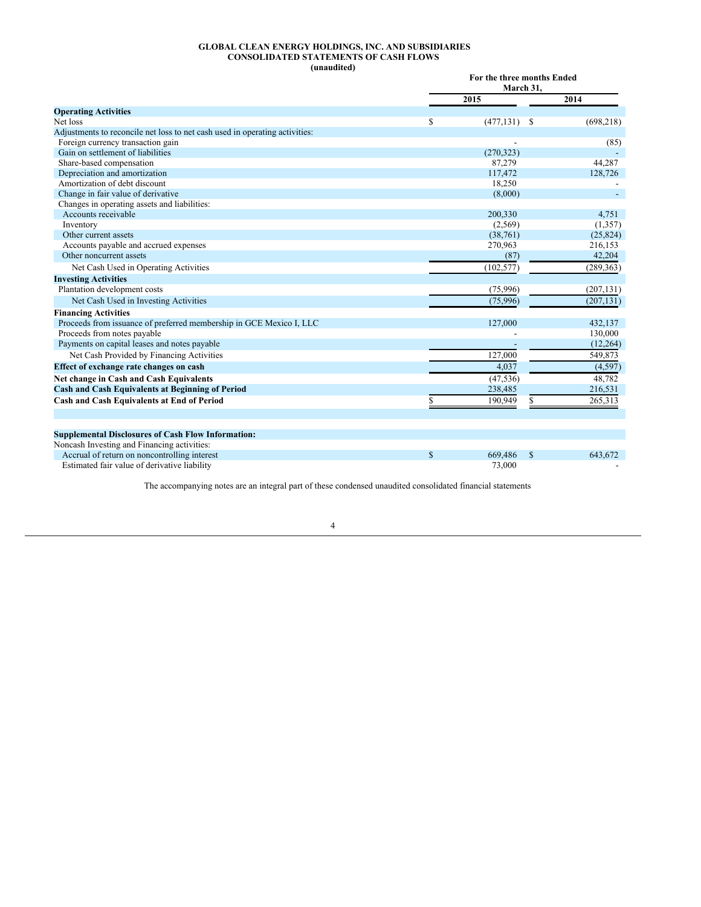### **GLOBAL CLEAN ENERGY HOLDINGS, INC. AND SUBSIDIARIES CONSOLIDATED STATEMENTS OF CASH FLOWS (unaudited)**

| , unauuntu ,                                                                |              | For the three months Ended<br>March 31, |    |            |  |
|-----------------------------------------------------------------------------|--------------|-----------------------------------------|----|------------|--|
|                                                                             |              | 2015                                    |    | 2014       |  |
| <b>Operating Activities</b>                                                 |              |                                         |    |            |  |
| Net loss                                                                    | S            | (477, 131)                              | -S | (698, 218) |  |
| Adjustments to reconcile net loss to net cash used in operating activities: |              |                                         |    |            |  |
| Foreign currency transaction gain                                           |              |                                         |    | (85)       |  |
| Gain on settlement of liabilities                                           |              | (270, 323)                              |    |            |  |
| Share-based compensation                                                    |              | 87,279                                  |    | 44,287     |  |
| Depreciation and amortization                                               |              | 117,472                                 |    | 128,726    |  |
| Amortization of debt discount                                               |              | 18,250                                  |    |            |  |
| Change in fair value of derivative                                          |              | (8,000)                                 |    |            |  |
| Changes in operating assets and liabilities:                                |              |                                         |    |            |  |
| Accounts receivable                                                         |              | 200,330                                 |    | 4,751      |  |
| Inventory                                                                   |              | (2,569)                                 |    | (1,357)    |  |
| Other current assets                                                        |              | (38, 761)                               |    | (25, 824)  |  |
| Accounts payable and accrued expenses                                       |              | 270,963                                 |    | 216,153    |  |
| Other noncurrent assets                                                     |              | (87)                                    |    | 42,204     |  |
| Net Cash Used in Operating Activities                                       |              | (102, 577)                              |    | (289, 363) |  |
| <b>Investing Activities</b>                                                 |              |                                         |    |            |  |
| Plantation development costs                                                |              | (75,996)                                |    | (207, 131) |  |
| Net Cash Used in Investing Activities                                       |              | (75,996)                                |    | (207, 131) |  |
| <b>Financing Activities</b>                                                 |              |                                         |    |            |  |
| Proceeds from issuance of preferred membership in GCE Mexico I, LLC         |              | 127,000                                 |    | 432,137    |  |
| Proceeds from notes payable                                                 |              |                                         |    | 130,000    |  |
| Payments on capital leases and notes payable                                |              |                                         |    | (12, 264)  |  |
| Net Cash Provided by Financing Activities                                   |              | 127,000                                 |    | 549,873    |  |
| Effect of exchange rate changes on cash                                     |              | 4,037                                   |    | (4,597)    |  |
| Net change in Cash and Cash Equivalents                                     |              | (47, 536)                               |    | 48,782     |  |
| <b>Cash and Cash Equivalents at Beginning of Period</b>                     |              | 238,485                                 |    | 216,531    |  |
| Cash and Cash Equivalents at End of Period                                  | \$           | 190,949                                 | \$ | 265,313    |  |
|                                                                             |              |                                         |    |            |  |
| <b>Supplemental Disclosures of Cash Flow Information:</b>                   |              |                                         |    |            |  |
| Noncash Investing and Financing activities:                                 |              |                                         |    |            |  |
| Accrual of return on noncontrolling interest                                | $\mathbb{S}$ | 669,486                                 | \$ | 643,672    |  |
| Estimated fair value of derivative liability                                |              | 73,000                                  |    |            |  |

The accompanying notes are an integral part of these condensed unaudited consolidated financial statements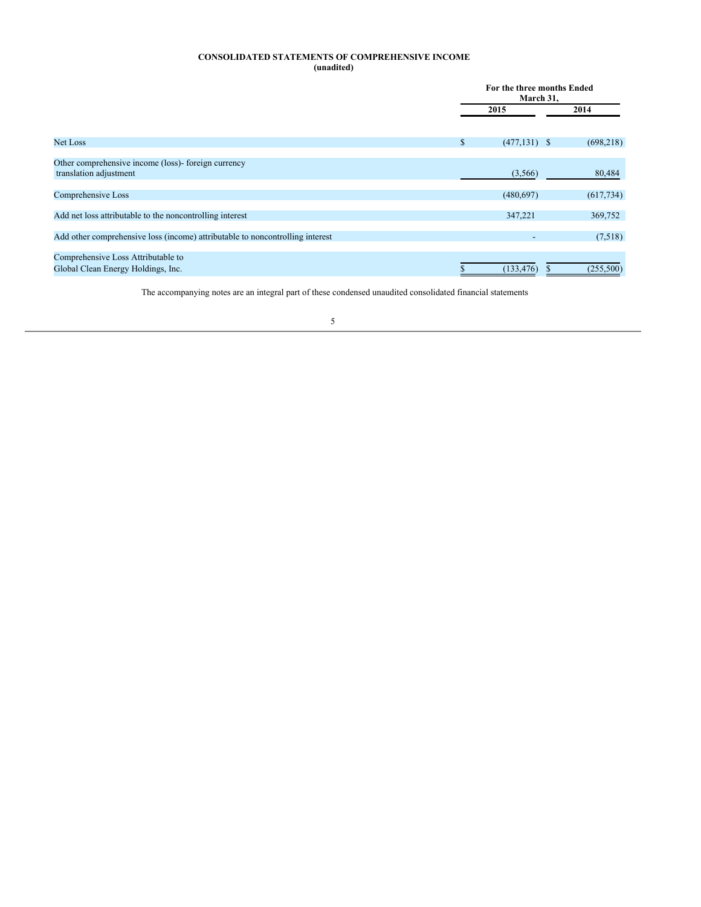## **CONSOLIDATED STATEMENTS OF COMPREHENSIVE INCOME (unadited)**

|                                                                               | For the three months Ended<br>March 31, |  |            |
|-------------------------------------------------------------------------------|-----------------------------------------|--|------------|
|                                                                               | 2015                                    |  | 2014       |
|                                                                               |                                         |  |            |
| Net Loss                                                                      | \$<br>$(477, 131)$ \$                   |  | (698, 218) |
| Other comprehensive income (loss)- foreign currency<br>translation adjustment | (3,566)                                 |  | 80,484     |
|                                                                               |                                         |  |            |
| Comprehensive Loss                                                            | (480,697)                               |  | (617, 734) |
| Add net loss attributable to the noncontrolling interest                      | 347,221                                 |  | 369,752    |
| Add other comprehensive loss (income) attributable to noncontrolling interest |                                         |  | (7,518)    |
| Comprehensive Loss Attributable to                                            |                                         |  |            |
| Global Clean Energy Holdings, Inc.                                            | (133, 476)                              |  | (255,500)  |

The accompanying notes are an integral part of these condensed unaudited consolidated financial statements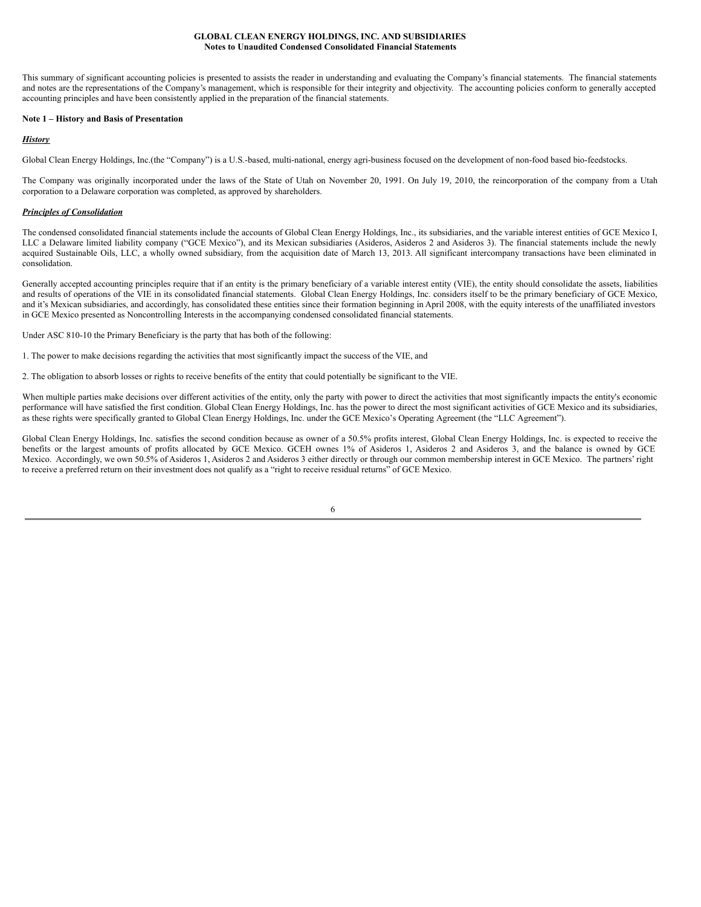This summary of significant accounting policies is presented to assists the reader in understanding and evaluating the Company's financial statements. The financial statements and notes are the representations of the Company's management, which is responsible for their integrity and objectivity. The accounting policies conform to generally accepted accounting principles and have been consistently applied in the preparation of the financial statements.

# **Note 1 – History and Basis of Presentation**

# *History*

Global Clean Energy Holdings, Inc.(the "Company") is a U.S.-based, multi-national, energy agri-business focused on the development of non-food based bio-feedstocks.

The Company was originally incorporated under the laws of the State of Utah on November 20, 1991. On July 19, 2010, the reincorporation of the company from a Utah corporation to a Delaware corporation was completed, as approved by shareholders.

# *Principles of Consolidation*

The condensed consolidated financial statements include the accounts of Global Clean Energy Holdings, Inc., its subsidiaries, and the variable interest entities of GCE Mexico I, LLC a Delaware limited liability company ("GCE Mexico"), and its Mexican subsidiaries (Asideros, Asideros 2 and Asideros 3). The financial statements include the newly acquired Sustainable Oils, LLC, a wholly owned subsidiary, from the acquisition date of March 13, 2013. All significant intercompany transactions have been eliminated in consolidation.

Generally accepted accounting principles require that if an entity is the primary beneficiary of a variable interest entity (VIE), the entity should consolidate the assets, liabilities and results of operations of the VIE in its consolidated financial statements. Global Clean Energy Holdings, Inc. considers itself to be the primary beneficiary of GCE Mexico, and it's Mexican subsidiaries, and accordingly, has consolidated these entities since their formation beginning in April 2008, with the equity interests of the unaffiliated investors in GCE Mexico presented as Noncontrolling Interests in the accompanying condensed consolidated financial statements.

Under ASC 810-10 the Primary Beneficiary is the party that has both of the following:

1. The power to make decisions regarding the activities that most significantly impact the success of the VIE, and

2. The obligation to absorb losses or rights to receive benefits of the entity that could potentially be significant to the VIE.

When multiple parties make decisions over different activities of the entity, only the party with power to direct the activities that most significantly impacts the entity's economic performance will have satisfied the first condition. Global Clean Energy Holdings, Inc. has the power to direct the most significant activities of GCE Mexico and its subsidiaries, as these rights were specifically granted to Global Clean Energy Holdings, Inc. under the GCE Mexico's Operating Agreement (the "LLC Agreement").

Global Clean Energy Holdings, Inc. satisfies the second condition because as owner of a 50.5% profits interest, Global Clean Energy Holdings, Inc. is expected to receive the benefits or the largest amounts of profits allocated by GCE Mexico. GCEH ownes 1% of Asideros 1, Asideros 2 and Asideros 3, and the balance is owned by GCE Mexico. Accordingly, we own 50.5% of Asideros 1, Asideros 2 and Asideros 3 either directly or through our common membership interest in GCE Mexico. The partners' right to receive a preferred return on their investment does not qualify as a "right to receive residual returns" of GCE Mexico.

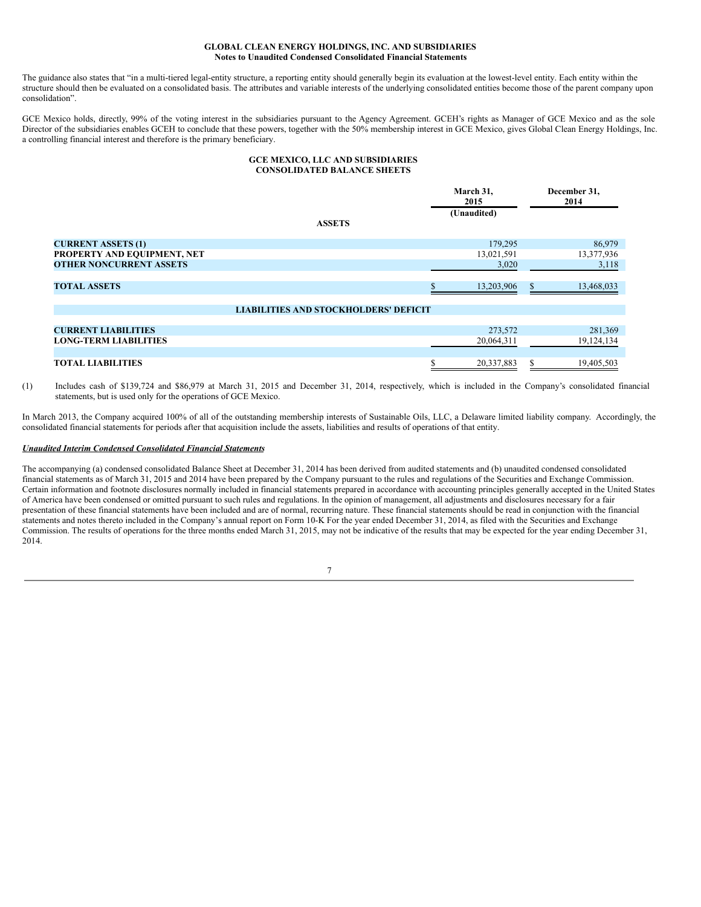The guidance also states that "in a multi-tiered legal-entity structure, a reporting entity should generally begin its evaluation at the lowest-level entity. Each entity within the structure should then be evaluated on a consolidated basis. The attributes and variable interests of the underlying consolidated entities become those of the parent company upon consolidation".

GCE Mexico holds, directly, 99% of the voting interest in the subsidiaries pursuant to the Agency Agreement. GCEH's rights as Manager of GCE Mexico and as the sole Director of the subsidiaries enables GCEH to conclude that these powers, together with the 50% membership interest in GCE Mexico, gives Global Clean Energy Holdings, Inc. a controlling financial interest and therefore is the primary beneficiary.

## **GCE MEXICO, LLC AND SUBSIDIARIES CONSOLIDATED BALANCE SHEETS**

|                                |                                              | March 31,<br>2015 |   | December 31,<br>2014 |
|--------------------------------|----------------------------------------------|-------------------|---|----------------------|
|                                |                                              | (Unaudited)       |   |                      |
|                                | <b>ASSETS</b>                                |                   |   |                      |
|                                |                                              |                   |   |                      |
| <b>CURRENT ASSETS (1)</b>      |                                              | 179,295           |   | 86,979               |
| PROPERTY AND EQUIPMENT, NET    |                                              | 13,021,591        |   | 13,377,936           |
| <b>OTHER NONCURRENT ASSETS</b> |                                              | 3,020             |   | 3,118                |
|                                |                                              |                   |   |                      |
| <b>TOTAL ASSETS</b>            |                                              | 13,203,906        |   | 13,468,033           |
|                                |                                              |                   |   |                      |
|                                | <b>LIABILITIES AND STOCKHOLDERS' DEFICIT</b> |                   |   |                      |
|                                |                                              |                   |   |                      |
| <b>CURRENT LIABILITIES</b>     |                                              | 273,572           |   | 281,369              |
| <b>LONG-TERM LIABILITIES</b>   |                                              | 20,064,311        |   | 19,124,134           |
|                                |                                              |                   |   |                      |
| <b>TOTAL LIABILITIES</b>       | S                                            | 20,337,883        | S | 19,405,503           |

(1) Includes cash of \$139,724 and \$86,979 at March 31, 2015 and December 31, 2014, respectively, which is included in the Company's consolidated financial statements, but is used only for the operations of GCE Mexico.

In March 2013, the Company acquired 100% of all of the outstanding membership interests of Sustainable Oils, LLC, a Delaware limited liability company. Accordingly, the consolidated financial statements for periods after that acquisition include the assets, liabilities and results of operations of that entity.

# *Unaudited Interim Condensed Consolidated Financial Statements*

The accompanying (a) condensed consolidated Balance Sheet at December 31, 2014 has been derived from audited statements and (b) unaudited condensed consolidated financial statements as of March 31, 2015 and 2014 have been prepared by the Company pursuant to the rules and regulations of the Securities and Exchange Commission. Certain information and footnote disclosures normally included in financial statements prepared in accordance with accounting principles generally accepted in the United States of America have been condensed or omitted pursuant to such rules and regulations. In the opinion of management, all adjustments and disclosures necessary for a fair presentation of these financial statements have been included and are of normal, recurring nature. These financial statements should be read in conjunction with the financial statements and notes thereto included in the Company's annual report on Form 10-K For the year ended December 31, 2014, as filed with the Securities and Exchange Commission. The results of operations for the three months ended March 31, 2015, may not be indicative of the results that may be expected for the year ending December 31, 2014.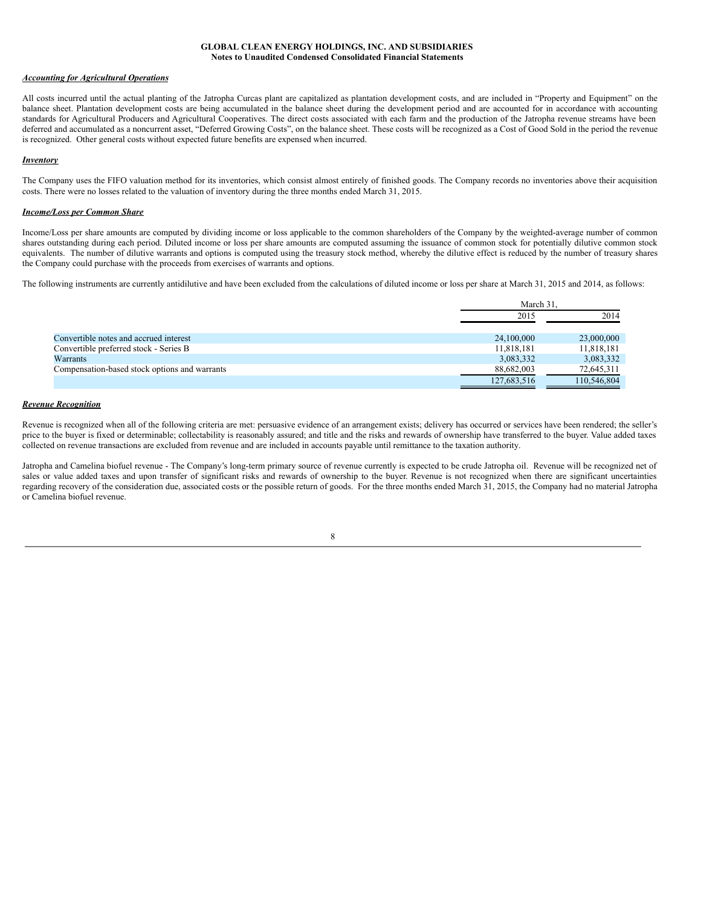#### *Accounting for Agricultural Operations*

All costs incurred until the actual planting of the Jatropha Curcas plant are capitalized as plantation development costs, and are included in "Property and Equipment" on the balance sheet. Plantation development costs are being accumulated in the balance sheet during the development period and are accounted for in accordance with accounting standards for Agricultural Producers and Agricultural Cooperatives. The direct costs associated with each farm and the production of the Jatropha revenue streams have been deferred and accumulated as a noncurrent asset, "Deferred Growing Costs", on the balance sheet. These costs will be recognized as a Cost of Good Sold in the period the revenue is recognized. Other general costs without expected future benefits are expensed when incurred.

#### *Inventory*

The Company uses the FIFO valuation method for its inventories, which consist almost entirely of finished goods. The Company records no inventories above their acquisition costs. There were no losses related to the valuation of inventory during the three months ended March 31, 2015.

# *Income/Loss per Common Share*

Income/Loss per share amounts are computed by dividing income or loss applicable to the common shareholders of the Company by the weighted-average number of common shares outstanding during each period. Diluted income or loss per share amounts are computed assuming the issuance of common stock for potentially dilutive common stock equivalents. The number of dilutive warrants and options is computed using the treasury stock method, whereby the dilutive effect is reduced by the number of treasury shares the Company could purchase with the proceeds from exercises of warrants and options.

The following instruments are currently antidilutive and have been excluded from the calculations of diluted income or loss per share at March 31, 2015 and 2014, as follows:

|                                               | March 31    |             |  |
|-----------------------------------------------|-------------|-------------|--|
|                                               | 2015        | 2014        |  |
|                                               |             |             |  |
| Convertible notes and accrued interest        | 24,100,000  | 23,000,000  |  |
| Convertible preferred stock - Series B        | 11.818.181  | 11,818,181  |  |
| Warrants                                      | 3,083,332   | 3,083,332   |  |
| Compensation-based stock options and warrants | 88,682,003  | 72,645,311  |  |
|                                               | 127,683,516 | 110,546,804 |  |

## *Revenue Recognition*

Revenue is recognized when all of the following criteria are met: persuasive evidence of an arrangement exists; delivery has occurred or services have been rendered; the seller's price to the buyer is fixed or determinable; collectability is reasonably assured; and title and the risks and rewards of ownership have transferred to the buyer. Value added taxes collected on revenue transactions are excluded from revenue and are included in accounts payable until remittance to the taxation authority.

Jatropha and Camelina biofuel revenue - The Company's long-term primary source of revenue currently is expected to be crude Jatropha oil. Revenue will be recognized net of sales or value added taxes and upon transfer of significant risks and rewards of ownership to the buyer. Revenue is not recognized when there are significant uncertainties regarding recovery of the consideration due, associated costs or the possible return of goods. For the three months ended March 31, 2015, the Company had no material Jatropha or Camelina biofuel revenue.

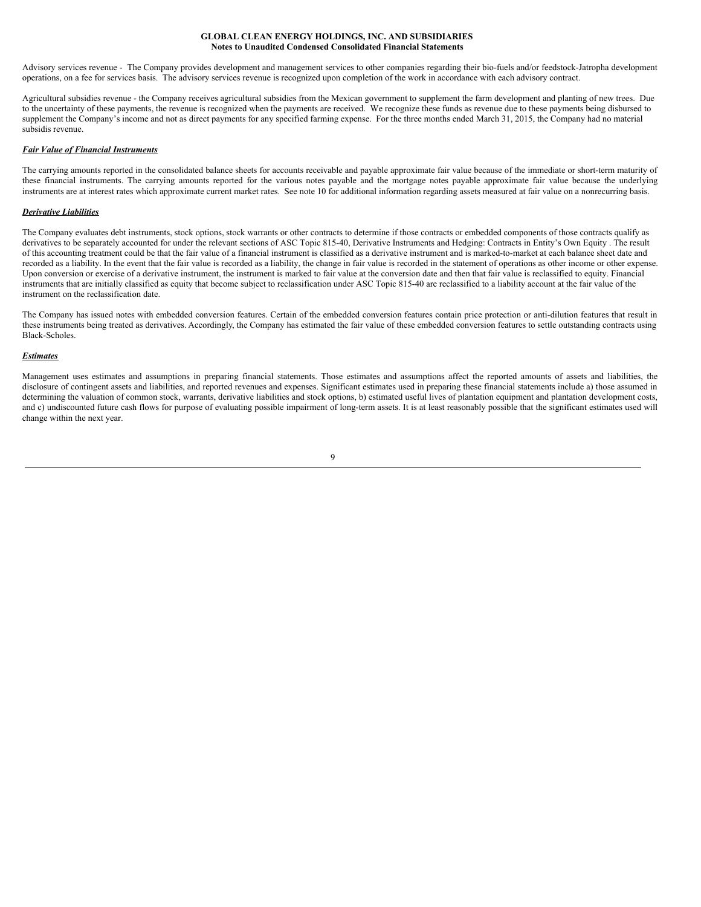Advisory services revenue - The Company provides development and management services to other companies regarding their bio-fuels and/or feedstock-Jatropha development operations, on a fee for services basis. The advisory services revenue is recognized upon completion of the work in accordance with each advisory contract.

Agricultural subsidies revenue - the Company receives agricultural subsidies from the Mexican government to supplement the farm development and planting of new trees. Due to the uncertainty of these payments, the revenue is recognized when the payments are received. We recognize these funds as revenue due to these payments being disbursed to supplement the Company's income and not as direct payments for any specified farming expense. For the three months ended March 31, 2015, the Company had no material subsidis revenue.

#### *Fair Value of Financial Instruments*

The carrying amounts reported in the consolidated balance sheets for accounts receivable and payable approximate fair value because of the immediate or short-term maturity of these financial instruments. The carrying amounts reported for the various notes payable and the mortgage notes payable approximate fair value because the underlying instruments are at interest rates which approximate current market rates. See note 10 for additional information regarding assets measured at fair value on a nonrecurring basis.

# *Derivative Liabilities*

The Company evaluates debt instruments, stock options, stock warrants or other contracts to determine if those contracts or embedded components of those contracts qualify as derivatives to be separately accounted for under the relevant sections of ASC Topic 815-40. Derivative Instruments and Hedging: Contracts in Entity's Own Equity . The result of this accounting treatment could be that the fair value of a financial instrument is classified as a derivative instrument and is marked-to-market at each balance sheet date and recorded as a liability. In the event that the fair value is recorded as a liability, the change in fair value is recorded in the statement of operations as other income or other expense. Upon conversion or exercise of a derivative instrument, the instrument is marked to fair value at the conversion date and then that fair value is reclassified to equity. Financial instruments that are initially classified as equity that become subject to reclassification under ASC Topic 815-40 are reclassified to a liability account at the fair value of the instrument on the reclassification date.

The Company has issued notes with embedded conversion features. Certain of the embedded conversion features contain price protection or anti-dilution features that result in these instruments being treated as derivatives. Accordingly, the Company has estimated the fair value of these embedded conversion features to settle outstanding contracts using Black-Scholes.

#### *Estimates*

Management uses estimates and assumptions in preparing financial statements. Those estimates and assumptions affect the reported amounts of assets and liabilities, the disclosure of contingent assets and liabilities, and reported revenues and expenses. Significant estimates used in preparing these financial statements include a) those assumed in determining the valuation of common stock, warrants, derivative liabilities and stock options, b) estimated useful lives of plantation equipment and plantation development costs, and c) undiscounted future cash flows for purpose of evaluating possible impairment of long-term assets. It is at least reasonably possible that the significant estimates used will change within the next year.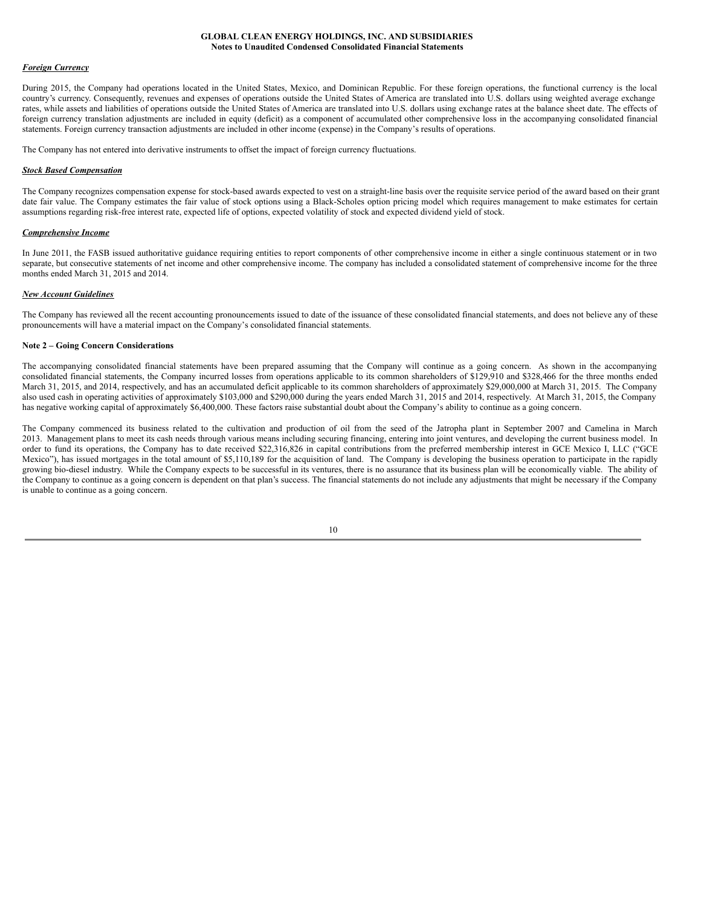#### *Foreign Currency*

During 2015, the Company had operations located in the United States, Mexico, and Dominican Republic. For these foreign operations, the functional currency is the local country's currency. Consequently, revenues and expenses of operations outside the United States of America are translated into U.S. dollars using weighted average exchange rates, while assets and liabilities of operations outside the United States of America are translated into U.S. dollars using exchange rates at the balance sheet date. The effects of foreign currency translation adjustments are included in equity (deficit) as a component of accumulated other comprehensive loss in the accompanying consolidated financial statements. Foreign currency transaction adjustments are included in other income (expense) in the Company's results of operations.

The Company has not entered into derivative instruments to offset the impact of foreign currency fluctuations.

#### *Stock Based Compensation*

The Company recognizes compensation expense for stock-based awards expected to vest on a straight-line basis over the requisite service period of the award based on their grant date fair value. The Company estimates the fair value of stock options using a Black-Scholes option pricing model which requires management to make estimates for certain assumptions regarding risk-free interest rate, expected life of options, expected volatility of stock and expected dividend yield of stock.

## *Comprehensive Income*

In June 2011, the FASB issued authoritative guidance requiring entities to report components of other comprehensive income in either a single continuous statement or in two separate, but consecutive statements of net income and other comprehensive income. The company has included a consolidated statement of comprehensive income for the three months ended March 31, 2015 and 2014.

## *New Account Guidelines*

The Company has reviewed all the recent accounting pronouncements issued to date of the issuance of these consolidated financial statements, and does not believe any of these pronouncements will have a material impact on the Company's consolidated financial statements.

# **Note 2 – Going Concern Considerations**

The accompanying consolidated financial statements have been prepared assuming that the Company will continue as a going concern. As shown in the accompanying consolidated financial statements, the Company incurred losses from operations applicable to its common shareholders of \$129,910 and \$328,466 for the three months ended March 31, 2015, and 2014, respectively, and has an accumulated deficit applicable to its common shareholders of approximately \$29,000,000 at March 31, 2015. The Company also used cash in operating activities of approximately \$103,000 and \$290,000 during the years ended March 31, 2015 and 2014, respectively. At March 31, 2015, the Company has negative working capital of approximately \$6,400,000. These factors raise substantial doubt about the Company's ability to continue as a going concern.

The Company commenced its business related to the cultivation and production of oil from the seed of the Jatropha plant in September 2007 and Camelina in March 2013. Management plans to meet its cash needs through various means including securing financing, entering into joint ventures, and developing the current business model. In order to fund its operations, the Company has to date received \$22,316,826 in capital contributions from the preferred membership interest in GCE Mexico I, LLC ("GCE Mexico"), has issued mortgages in the total amount of \$5,110,189 for the acquisition of land. The Company is developing the business operation to participate in the rapidly growing bio-diesel industry. While the Company expects to be successful in its ventures, there is no assurance that its business plan will be economically viable. The ability of the Company to continue as a going concern is dependent on that plan's success. The financial statements do not include any adjustments that might be necessary if the Company is unable to continue as a going concern.

| ۰.      |
|---------|
| ×<br>۰. |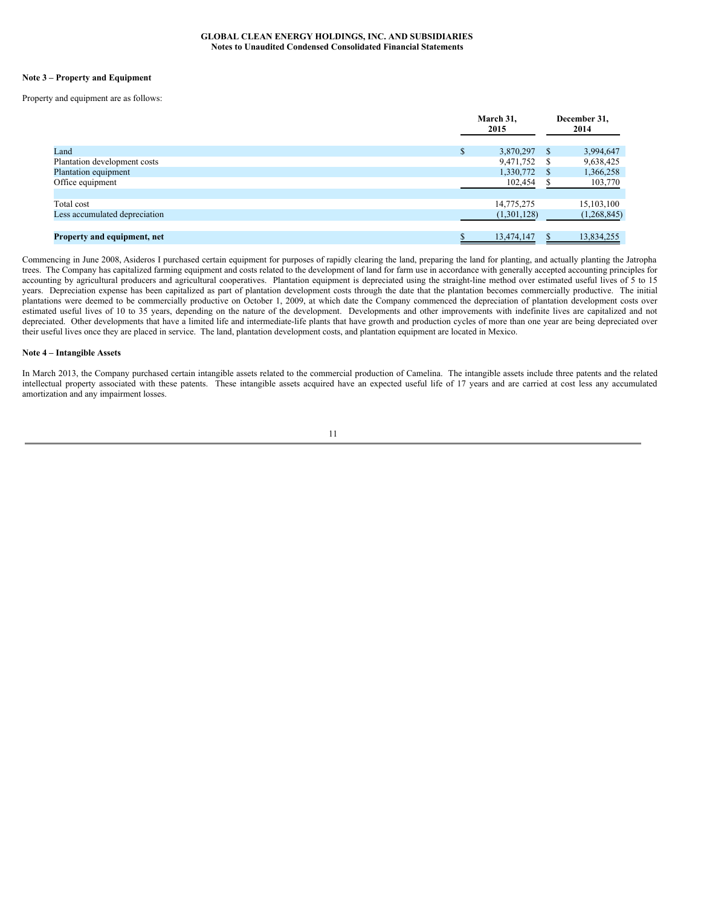#### **Note 3 – Property and Equipment**

Property and equipment are as follows:

|                               | March 31,<br>2015 |     | December 31,<br>2014 |
|-------------------------------|-------------------|-----|----------------------|
| Land                          | \$<br>3,870,297   | - S | 3,994,647            |
| Plantation development costs  | 9,471,752         | - S | 9,638,425            |
| Plantation equipment          | 1,330,772         | - S | 1,366,258            |
| Office equipment              | 102,454           |     | 103,770              |
| Total cost                    | 14,775,275        |     | 15,103,100           |
| Less accumulated depreciation | (1,301,128)       |     | (1,268,845)          |
| Property and equipment, net   | 13,474,147        |     | 13,834,255           |

Commencing in June 2008, Asideros I purchased certain equipment for purposes of rapidly clearing the land, preparing the land for planting, and actually planting the Jatropha trees. The Company has capitalized farming equipment and costs related to the development of land for farm use in accordance with generally accepted accounting principles for accounting by agricultural producers and agricultural cooperatives. Plantation equipment is depreciated using the straight-line method over estimated useful lives of 5 to 15 years. Depreciation expense has been capitalized as part of plantation development costs through the date that the plantation becomes commercially productive. The initial plantations were deemed to be commercially productive on October 1, 2009, at which date the Company commenced the depreciation of plantation development costs over estimated useful lives of 10 to 35 years, depending on the nature of the development. Developments and other improvements with indefinite lives are capitalized and not depreciated. Other developments that have a limited life and intermediate-life plants that have growth and production cycles of more than one year are being depreciated over their useful lives once they are placed in service. The land, plantation development costs, and plantation equipment are located in Mexico.

#### **Note 4 – Intangible Assets**

In March 2013, the Company purchased certain intangible assets related to the commercial production of Camelina. The intangible assets include three patents and the related intellectual property associated with these patents. These intangible assets acquired have an expected useful life of 17 years and are carried at cost less any accumulated amortization and any impairment losses.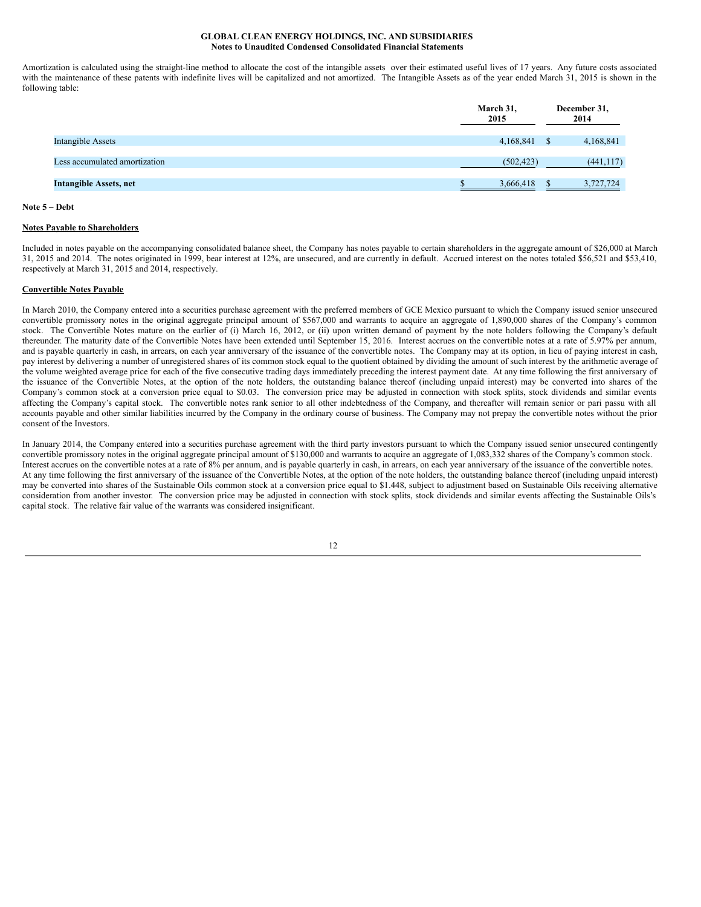Amortization is calculated using the straight-line method to allocate the cost of the intangible assets over their estimated useful lives of 17 years. Any future costs associated with the maintenance of these patents with indefinite lives will be capitalized and not amortized. The Intangible Assets as of the year ended March 31, 2015 is shown in the following table:

|                               | March 31,<br>2015 | December 31,<br>2014      |
|-------------------------------|-------------------|---------------------------|
| <b>Intangible Assets</b>      | 4,168,841         | 4,168,841<br><sup>S</sup> |
| Less accumulated amortization | (502, 423)        | (441, 117)                |
| <b>Intangible Assets, net</b> | 3,666,418         | 3,727,724                 |

# **Note 5 – Debt**

# **Notes Payable to Shareholders**

Included in notes payable on the accompanying consolidated balance sheet, the Company has notes payable to certain shareholders in the aggregate amount of \$26,000 at March 31, 2015 and 2014. The notes originated in 1999, bear interest at 12%, are unsecured, and are currently in default. Accrued interest on the notes totaled \$56,521 and \$53,410, respectively at March 31, 2015 and 2014, respectively.

#### **Convertible Notes Payable**

In March 2010, the Company entered into a securities purchase agreement with the preferred members of GCE Mexico pursuant to which the Company issued senior unsecured convertible promissory notes in the original aggregate principal amount of \$567,000 and warrants to acquire an aggregate of 1,890,000 shares of the Company's common stock. The Convertible Notes mature on the earlier of (i) March 16, 2012, or (ii) upon written demand of payment by the note holders following the Company's default thereunder. The maturity date of the Convertible Notes have been extended until September 15, 2016. Interest accrues on the convertible notes at a rate of 5.97% per annum, and is payable quarterly in cash, in arrears, on each year anniversary of the issuance of the convertible notes. The Company may at its option, in lieu of paying interest in cash, pay interest by delivering a number of unregistered shares of its common stock equal to the quotient obtained by dividing the amount of such interest by the arithmetic average of the volume weighted average price for each of the five consecutive trading days immediately preceding the interest payment date. At any time following the first anniversary of the issuance of the Convertible Notes, at the option of the note holders, the outstanding balance thereof (including unpaid interest) may be converted into shares of the Company's common stock at a conversion price equal to \$0.03. The conversion price may be adjusted in connection with stock splits, stock dividends and similar events affecting the Company's capital stock. The convertible notes rank senior to all other indebtedness of the Company, and thereafter will remain senior or pari passu with all accounts payable and other similar liabilities incurred by the Company in the ordinary course of business. The Company may not prepay the convertible notes without the prior consent of the Investors.

In January 2014, the Company entered into a securities purchase agreement with the third party investors pursuant to which the Company issued senior unsecured contingently convertible promissory notes in the original aggregate principal amount of \$130,000 and warrants to acquire an aggregate of 1,083,332 shares of the Company's common stock. Interest accrues on the convertible notes at a rate of 8% per annum, and is payable quarterly in cash, in arrears, on each year anniversary of the issuance of the convertible notes. At any time following the first anniversary of the issuance of the Convertible Notes, at the option of the note holders, the outstanding balance thereof (including unpaid interest) may be converted into shares of the Sustainable Oils common stock at a conversion price equal to \$1.448, subject to adjustment based on Sustainable Oils receiving alternative consideration from another investor. The conversion price may be adjusted in connection with stock splits, stock dividends and similar events affecting the Sustainable Oils's capital stock. The relative fair value of the warrants was considered insignificant.

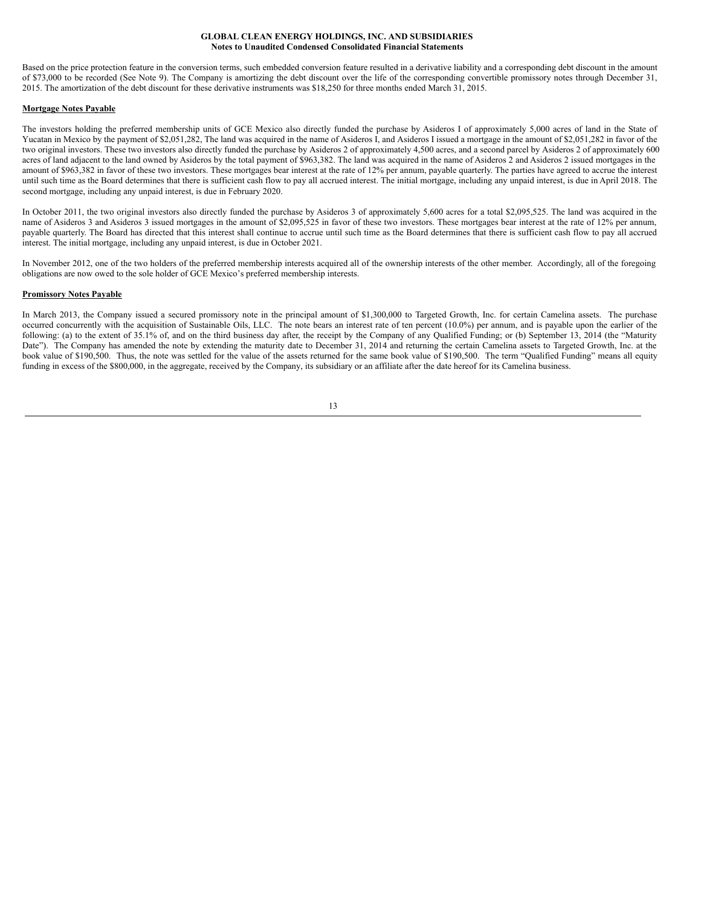Based on the price protection feature in the conversion terms, such embedded conversion feature resulted in a derivative liability and a corresponding debt discount in the amount of \$73,000 to be recorded (See Note 9). The Company is amortizing the debt discount over the life of the corresponding convertible promissory notes through December 31, 2015. The amortization of the debt discount for these derivative instruments was \$18,250 for three months ended March 31, 2015.

# **Mortgage Notes Payable**

The investors holding the preferred membership units of GCE Mexico also directly funded the purchase by Asideros I of approximately 5,000 acres of land in the State of Yucatan in Mexico by the payment of \$2,051,282, The land was acquired in the name of Asideros I, and Asideros I issued a mortgage in the amount of \$2,051,282 in favor of the two original investors. These two investors also directly funded the purchase by Asideros 2 of approximately 4,500 acres, and a second parcel by Asideros 2 of approximately 600 acres of land adjacent to the land owned by Asideros by the total payment of \$963,382. The land was acquired in the name of Asideros 2 and Asideros 2 issued mortgages in the amount of \$963,382 in favor of these two investors. These mortgages bear interest at the rate of 12% per annum, payable quarterly. The parties have agreed to accrue the interest until such time as the Board determines that there is sufficient cash flow to pay all accrued interest. The initial mortgage, including any unpaid interest, is due in April 2018. The second mortgage, including any unpaid interest, is due in February 2020.

In October 2011, the two original investors also directly funded the purchase by Asideros 3 of approximately 5,600 acres for a total \$2,095,525. The land was acquired in the name of Asideros 3 and Asideros 3 issued mortgages in the amount of \$2,095,525 in favor of these two investors. These mortgages bear interest at the rate of 12% per annum, payable quarterly. The Board has directed that this interest shall continue to accrue until such time as the Board determines that there is sufficient cash flow to pay all accrued interest. The initial mortgage, including any unpaid interest, is due in October 2021.

In November 2012, one of the two holders of the preferred membership interests acquired all of the ownership interests of the other member. Accordingly, all of the foregoing obligations are now owed to the sole holder of GCE Mexico's preferred membership interests.

# **Promissory Notes Payable**

In March 2013, the Company issued a secured promissory note in the principal amount of \$1,300,000 to Targeted Growth, Inc. for certain Camelina assets. The purchase occurred concurrently with the acquisition of Sustainable Oils, LLC. The note bears an interest rate of ten percent (10.0%) per annum, and is payable upon the earlier of the following: (a) to the extent of 35.1% of, and on the third business day after, the receipt by the Company of any Qualified Funding; or (b) September 13, 2014 (the "Maturity Date"). The Company has amended the note by extending the maturity date to December 31, 2014 and returning the certain Camelina assets to Targeted Growth, Inc. at the book value of \$190,500. Thus, the note was settled for the value of the assets returned for the same book value of \$190,500. The term "Qualified Funding" means all equity funding in excess of the \$800,000, in the aggregate, received by the Company, its subsidiary or an affiliate after the date hereof for its Camelina business.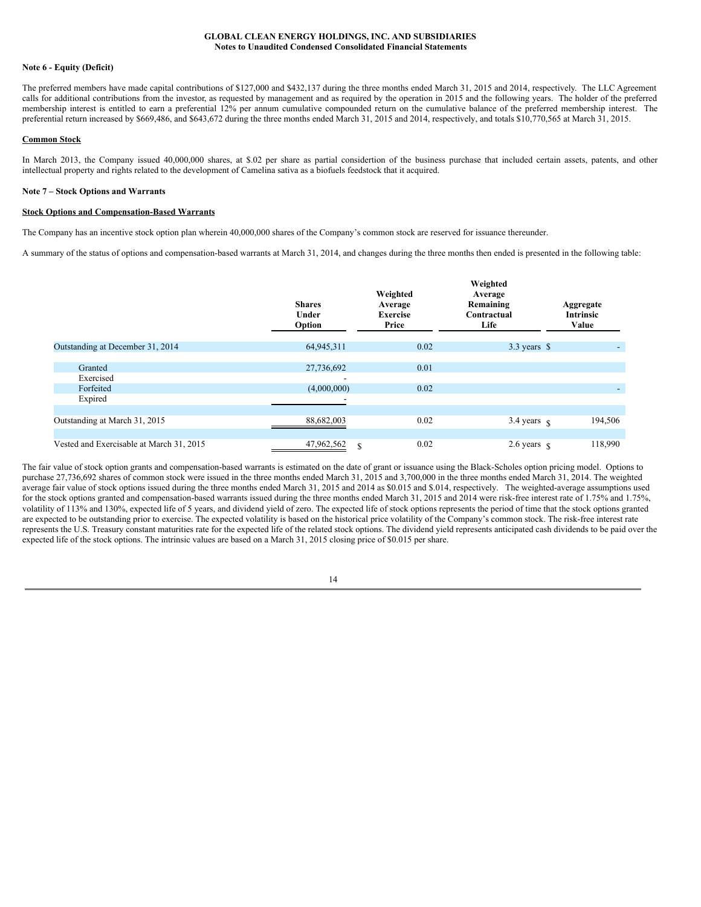## **Note 6 - Equity (Deficit)**

The preferred members have made capital contributions of \$127,000 and \$432,137 during the three months ended March 31, 2015 and 2014, respectively. The LLC Agreement calls for additional contributions from the investor, as requested by management and as required by the operation in 2015 and the following years. The holder of the preferred membership interest is entitled to earn a preferential 12% per annum cumulative compounded return on the cumulative balance of the preferred membership interest. The preferential return increased by \$669,486, and \$643,672 during the three months ended March 31, 2015 and 2014, respectively, and totals \$10,770,565 at March 31, 2015.

#### **Common Stock**

In March 2013, the Company issued 40,000,000 shares, at \$.02 per share as partial considertion of the business purchase that included certain assets, patents, and other intellectual property and rights related to the development of Camelina sativa as a biofuels feedstock that it acquired.

# **Note 7 – Stock Options and Warrants**

#### **Stock Options and Compensation-Based Warrants**

The Company has an incentive stock option plan wherein 40,000,000 shares of the Company's common stock are reserved for issuance thereunder.

A summary of the status of options and compensation-based warrants at March 31, 2014, and changes during the three months then ended is presented in the following table:

|                                          | <b>Shares</b><br>Under<br>Option | Weighted<br>Average<br><b>Exercise</b><br>Price | Weighted<br>Average<br>Remaining<br>Contractual<br>Life | Aggregate<br><b>Intrinsic</b><br>Value |
|------------------------------------------|----------------------------------|-------------------------------------------------|---------------------------------------------------------|----------------------------------------|
| Outstanding at December 31, 2014         | 64,945,311                       | 0.02                                            | $3.3 \text{ years}$ \$                                  |                                        |
| Granted<br>Exercised                     | 27,736,692                       | 0.01                                            |                                                         |                                        |
| Forfeited<br>Expired                     | (4,000,000)                      | 0.02                                            |                                                         |                                        |
| Outstanding at March 31, 2015            | 88,682,003                       | 0.02                                            | 3.4 years $\epsilon$                                    | 194,506                                |
|                                          |                                  |                                                 |                                                         |                                        |
| Vested and Exercisable at March 31, 2015 | 47,962,562<br>\$                 | 0.02                                            | 2.6 years $\frac{1}{5}$                                 | 118,990                                |

The fair value of stock option grants and compensation-based warrants is estimated on the date of grant or issuance using the Black-Scholes option pricing model. Options to purchase 27,736,692 shares of common stock were issued in the three months ended March 31, 2015 and 3,700,000 in the three months ended March 31, 2014. The weighted average fair value of stock options issued during the three months ended March 31, 2015 and 2014 as \$0.015 and \$.014, respectively. The weighted-average assumptions used for the stock options granted and compensation-based warrants issued during the three months ended March 31, 2015 and 2014 were risk-free interest rate of 1.75% and 1.75%, volatility of 113% and 130%, expected life of 5 years, and dividend yield of zero. The expected life of stock options represents the period of time that the stock options granted are expected to be outstanding prior to exercise. The expected volatility is based on the historical price volatility of the Company's common stock. The risk-free interest rate represents the U.S. Treasury constant maturities rate for the expected life of the related stock options. The dividend yield represents anticipated cash dividends to be paid over the expected life of the stock options. The intrinsic values are based on a March 31, 2015 closing price of \$0.015 per share.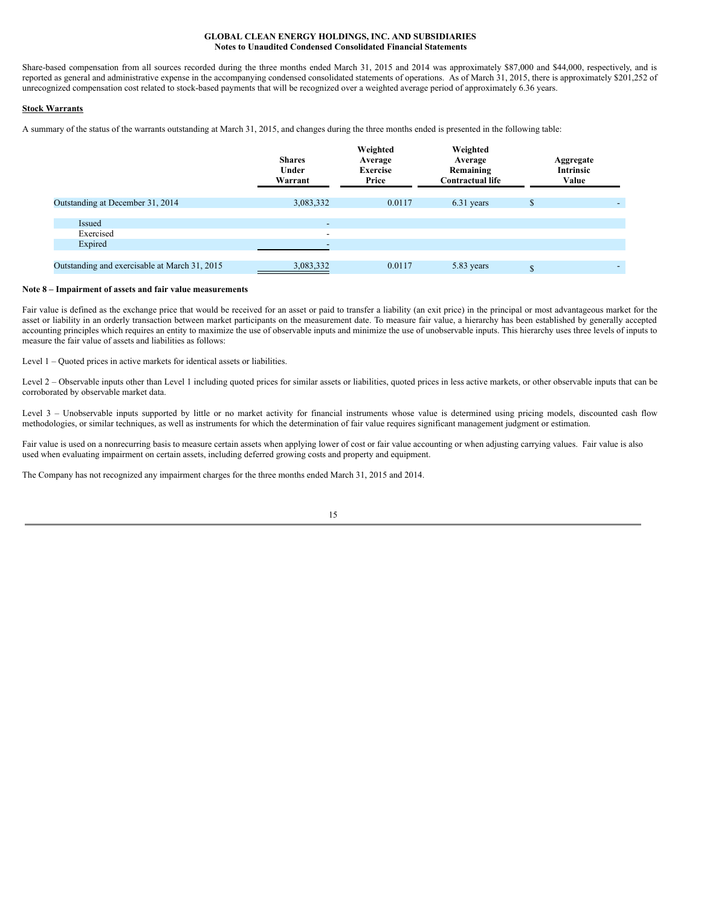Share-based compensation from all sources recorded during the three months ended March 31, 2015 and 2014 was approximately \$87,000 and \$44,000, respectively, and is reported as general and administrative expense in the accompanying condensed consolidated statements of operations. As of March 31, 2015, there is approximately \$201,252 of unrecognized compensation cost related to stock-based payments that will be recognized over a weighted average period of approximately 6.36 years.

# **Stock Warrants**

A summary of the status of the warrants outstanding at March 31, 2015, and changes during the three months ended is presented in the following table:

|                                               | <b>Shares</b><br>Under<br>Warrant | Weighted<br>Average<br><b>Exercise</b><br>Price | Weighted<br>Average<br>Remaining<br><b>Contractual life</b> | Aggregate<br><b>Intrinsic</b><br>Value |
|-----------------------------------------------|-----------------------------------|-------------------------------------------------|-------------------------------------------------------------|----------------------------------------|
| Outstanding at December 31, 2014              | 3,083,332                         | 0.0117                                          | 6.31 years                                                  | \$                                     |
| Issued<br>Exercised                           | $\overline{\phantom{a}}$          |                                                 |                                                             |                                        |
| Expired                                       | ۰                                 |                                                 |                                                             |                                        |
| Outstanding and exercisable at March 31, 2015 | 3,083,332                         | 0.0117                                          | 5.83 years                                                  | \$                                     |

## **Note 8 – Impairment of assets and fair value measurements**

Fair value is defined as the exchange price that would be received for an asset or paid to transfer a liability (an exit price) in the principal or most advantageous market for the asset or liability in an orderly transaction between market participants on the measurement date. To measure fair value, a hierarchy has been established by generally accepted accounting principles which requires an entity to maximize the use of observable inputs and minimize the use of unobservable inputs. This hierarchy uses three levels of inputs to measure the fair value of assets and liabilities as follows:

Level 1 – Quoted prices in active markets for identical assets or liabilities.

Level 2 – Observable inputs other than Level 1 including quoted prices for similar assets or liabilities, quoted prices in less active markets, or other observable inputs that can be corroborated by observable market data.

Level 3 – Unobservable inputs supported by little or no market activity for financial instruments whose value is determined using pricing models, discounted cash flow methodologies, or similar techniques, as well as instruments for which the determination of fair value requires significant management judgment or estimation.

Fair value is used on a nonrecurring basis to measure certain assets when applying lower of cost or fair value accounting or when adjusting carrying values. Fair value is also used when evaluating impairment on certain assets, including deferred growing costs and property and equipment.

The Company has not recognized any impairment charges for the three months ended March 31, 2015 and 2014.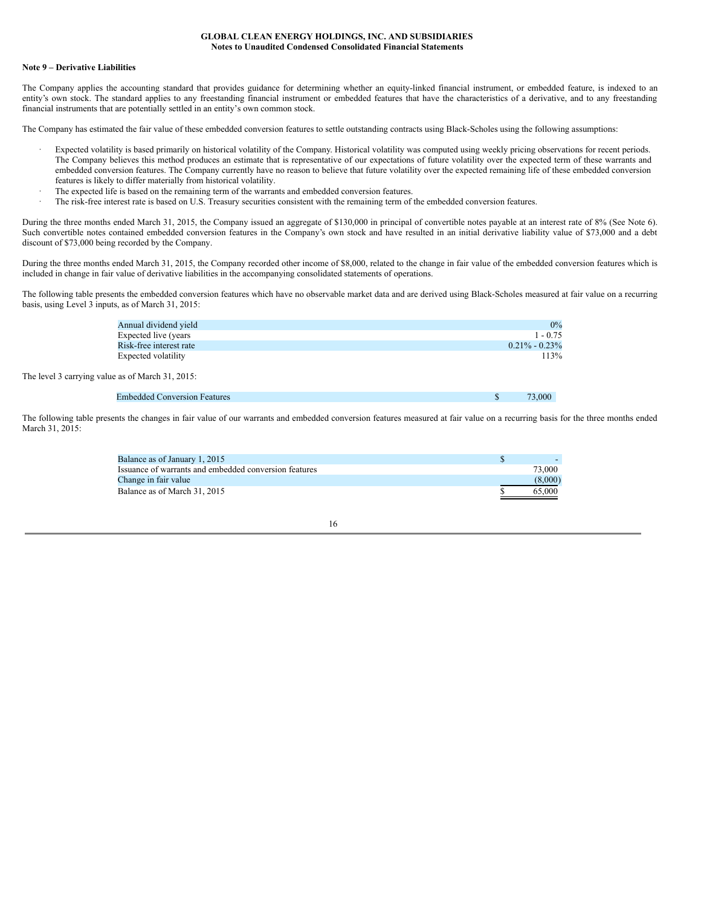#### **Note 9 – Derivative Liabilities**

The Company applies the accounting standard that provides guidance for determining whether an equity-linked financial instrument, or embedded feature, is indexed to an entity's own stock. The standard applies to any freestanding financial instrument or embedded features that have the characteristics of a derivative, and to any freestanding financial instruments that are potentially settled in an entity's own common stock.

The Company has estimated the fair value of these embedded conversion features to settle outstanding contracts using Black-Scholes using the following assumptions:

- Expected volatility is based primarily on historical volatility of the Company. Historical volatility was computed using weekly pricing observations for recent periods. The Company believes this method produces an estimate that is representative of our expectations of future volatility over the expected term of these warrants and embedded conversion features. The Company currently have no reason to believe that future volatility over the expected remaining life of these embedded conversion features is likely to differ materially from historical volatility.
- The expected life is based on the remaining term of the warrants and embedded conversion features.
- The risk-free interest rate is based on U.S. Treasury securities consistent with the remaining term of the embedded conversion features.

During the three months ended March 31, 2015, the Company issued an aggregate of \$130,000 in principal of convertible notes payable at an interest rate of 8% (See Note 6). Such convertible notes contained embedded conversion features in the Company's own stock and have resulted in an initial derivative liability value of \$73,000 and a debt discount of \$73,000 being recorded by the Company.

During the three months ended March 31, 2015, the Company recorded other income of \$8,000, related to the change in fair value of the embedded conversion features which is included in change in fair value of derivative liabilities in the accompanying consolidated statements of operations.

The following table presents the embedded conversion features which have no observable market data and are derived using Black-Scholes measured at fair value on a recurring basis, using Level 3 inputs, as of March 31, 2015:

| Annual dividend yield                            | $0\%$             |
|--------------------------------------------------|-------------------|
| Expected live (years)                            | $1 - 0.75$        |
| Risk-free interest rate                          | $0.21\% - 0.23\%$ |
| Expected volatility                              | 113%              |
| The level 3 carrying value as of March 31, 2015: |                   |

Embedded Conversion Features \$ 73,000

The following table presents the changes in fair value of our warrants and embedded conversion features measured at fair value on a recurring basis for the three months ended March 31, 2015:

| Balance as of January 1, 2015                         |         |
|-------------------------------------------------------|---------|
| Issuance of warrants and embedded conversion features | 73,000  |
| Change in fair value                                  | (8,000) |
| Balance as of March 31, 2015                          | 65.000  |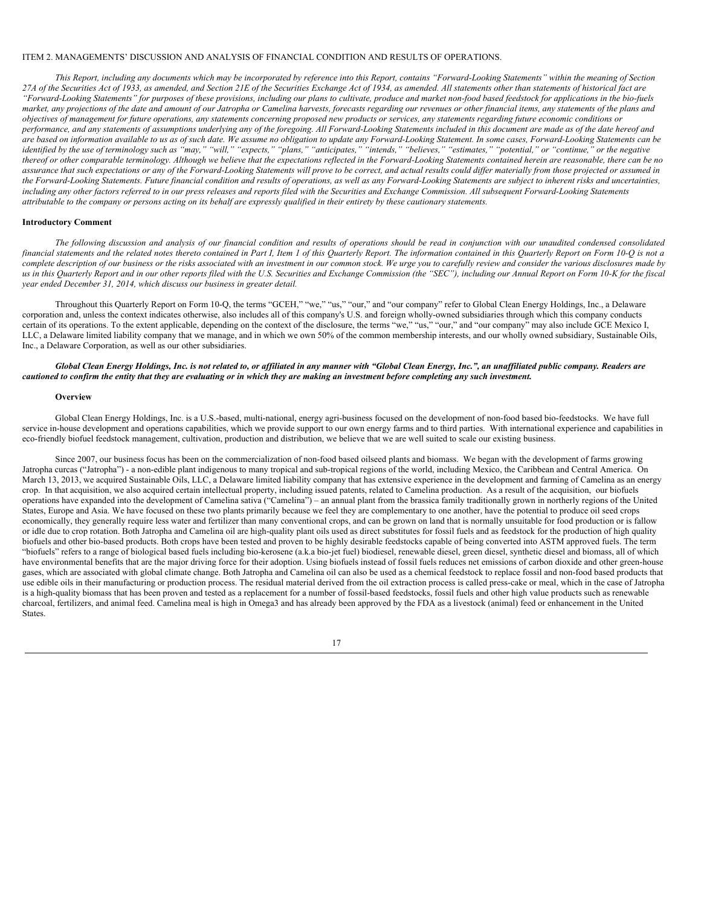#### ITEM 2. MANAGEMENTS' DISCUSSION AND ANALYSIS OF FINANCIAL CONDITION AND RESULTS OF OPERATIONS.

This Report, including any documents which may be incorporated by reference into this Report, contains "Forward-Looking Statements" within the meaning of Section 27A of the Securities Act of 1933, as amended, and Section 21E of the Securities Exchange Act of 1934, as amended. All statements other than statements of historical fact are "Forward-Looking Statements" for purposes of these provisions, including our plans to cultivate, produce and market non-food based feedstock for applications in the bio-fuels market, any projections of the date and amount of our Jatropha or Camelina harvests, forecasts regarding our revenues or other financial items, any statements of the plans and objectives of management for future operations, any statements concerning proposed new products or services, any statements regarding future economic conditions or performance, and any statements of assumptions underlying any of the foregoing. All Forward-Looking Statements included in this document are made as of the date hereof and are based on information available to us as of such date. We assume no obligation to update any Forward-Looking Statement. In some cases, Forward-Looking Statements can be identified by the use of terminology such as "may," "will," "expects," "plans," "anticipates," "intends," "believes," "estimates," "potential," or "continue," or the negative thereof or other comparable terminology. Although we believe that the expectations reflected in the Forward-Looking Statements contained herein are reasonable, there can be no assurance that such expectations or any of the Forward-Looking Statements will prove to be correct, and actual results could differ materially from those projected or assumed in the Forward-Looking Statements. Future financial condition and results of operations, as well as any Forward-Looking Statements are subject to inherent risks and uncertainties, including any other factors referred to in our press releases and reports filed with the Securities and Exchange Commission. All subsequent Forward-Looking Statements attributable to the company or persons acting on its behalf are expressly qualified in their entirety by these cautionary statements.

#### **Introductory Comment**

The following discussion and analysis of our financial condition and results of operations should be read in conjunction with our unaudited condensed consolidated financial statements and the related notes thereto contained in Part I, Item 1 of this Quarterly Report. The information contained in this Quarterly Report on Form 10-Q is not a complete description of our business or the risks associated with an investment in our common stock. We urge you to carefully review and consider the various disclosures made by us in this Quarterly Report and in our other reports filed with the U.S. Securities and Exchange Commission (the "SEC"), including our Annual Report on Form 10-K for the fiscal *year ended December 31, 2014, which discuss our business in greater detail.*

Throughout this Quarterly Report on Form 10-Q, the terms "GCEH," "we," "us," "our," and "our company" refer to Global Clean Energy Holdings, Inc., a Delaware corporation and, unless the context indicates otherwise, also includes all of this company's U.S. and foreign wholly-owned subsidiaries through which this company conducts certain of its operations. To the extent applicable, depending on the context of the disclosure, the terms "we," "us," "our," and "our company" may also include GCE Mexico I, LLC, a Delaware limited liability company that we manage, and in which we own 50% of the common membership interests, and our wholly owned subsidiary, Sustainable Oils, Inc., a Delaware Corporation, as well as our other subsidiaries.

Global Clean Energy Holdings, Inc. is not related to, or affiliated in any manner with "Global Clean Energy, Inc.", an unaffiliated public company. Readers are cautioned to confirm the entity that they are evaluating or in which they are making an investment before completing any such investment.

## **Overview**

Global Clean Energy Holdings, Inc. is a U.S.-based, multi-national, energy agri-business focused on the development of non-food based bio-feedstocks. We have full service in-house development and operations capabilities, which we provide support to our own energy farms and to third parties. With international experience and capabilities in eco-friendly biofuel feedstock management, cultivation, production and distribution, we believe that we are well suited to scale our existing business.

Since 2007, our business focus has been on the commercialization of non-food based oilseed plants and biomass. We began with the development of farms growing Jatropha curcas ("Jatropha") - a non-edible plant indigenous to many tropical and sub-tropical regions of the world, including Mexico, the Caribbean and Central America. On March 13, 2013, we acquired Sustainable Oils, LLC, a Delaware limited liability company that has extensive experience in the development and farming of Camelina as an energy crop. In that acquisition, we also acquired certain intellectual property, including issued patents, related to Camelina production. As a result of the acquisition, our biofuels operations have expanded into the development of Camelina sativa ("Camelina") – an annual plant from the brassica family traditionally grown in northerly regions of the United States, Europe and Asia. We have focused on these two plants primarily because we feel they are complementary to one another, have the potential to produce oil seed crops economically, they generally require less water and fertilizer than many conventional crops, and can be grown on land that is normally unsuitable for food production or is fallow or idle due to crop rotation. Both Jatropha and Camelina oil are high-quality plant oils used as direct substitutes for fossil fuels and as feedstock for the production of high quality biofuels and other bio-based products. Both crops have been tested and proven to be highly desirable feedstocks capable of being converted into ASTM approved fuels. The term "biofuels" refers to a range of biological based fuels including bio-kerosene (a.k.a bio-jet fuel) biodiesel, renewable diesel, green diesel, synthetic diesel and biomass, all of which have environmental benefits that are the major driving force for their adoption. Using biofuels instead of fossil fuels reduces net emissions of carbon dioxide and other green-house gases, which are associated with global climate change. Both Jatropha and Camelina oil can also be used as a chemical feedstock to replace fossil and non-food based products that use edible oils in their manufacturing or production process. The residual material derived from the oil extraction process is called press-cake or meal, which in the case of Jatropha is a high-quality biomass that has been proven and tested as a replacement for a number of fossil-based feedstocks, fossil fuels and other high value products such as renewable charcoal, fertilizers, and animal feed. Camelina meal is high in Omega3 and has already been approved by the FDA as a livestock (animal) feed or enhancement in the United States.

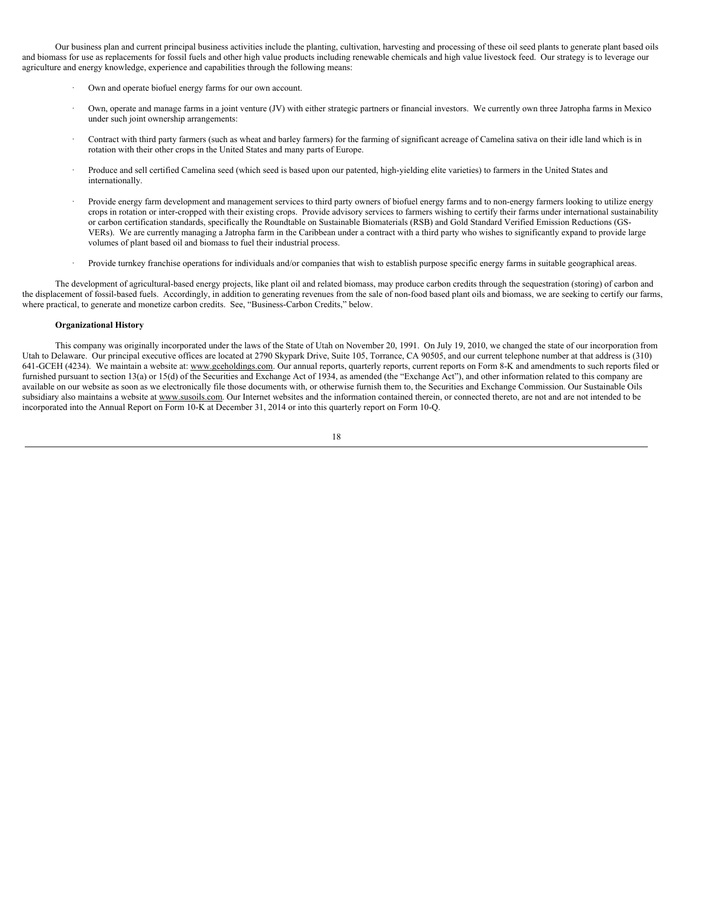Our business plan and current principal business activities include the planting, cultivation, harvesting and processing of these oil seed plants to generate plant based oils and biomass for use as replacements for fossil fuels and other high value products including renewable chemicals and high value livestock feed. Our strategy is to leverage our agriculture and energy knowledge, experience and capabilities through the following means:

- Own and operate biofuel energy farms for our own account.
- · Own, operate and manage farms in a joint venture (JV) with either strategic partners or financial investors. We currently own three Jatropha farms in Mexico under such joint ownership arrangements:
- · Contract with third party farmers (such as wheat and barley farmers) for the farming of significant acreage of Camelina sativa on their idle land which is in rotation with their other crops in the United States and many parts of Europe.
- · Produce and sell certified Camelina seed (which seed is based upon our patented, high-yielding elite varieties) to farmers in the United States and internationally.
- Provide energy farm development and management services to third party owners of biofuel energy farms and to non-energy farmers looking to utilize energy crops in rotation or inter-cropped with their existing crops. Provide advisory services to farmers wishing to certify their farms under international sustainability or carbon certification standards, specifically the Roundtable on Sustainable Biomaterials (RSB) and Gold Standard Verified Emission Reductions (GS-VERs). We are currently managing a Jatropha farm in the Caribbean under a contract with a third party who wishes to significantly expand to provide large volumes of plant based oil and biomass to fuel their industrial process.
- Provide turnkey franchise operations for individuals and/or companies that wish to establish purpose specific energy farms in suitable geographical areas.

The development of agricultural-based energy projects, like plant oil and related biomass, may produce carbon credits through the sequestration (storing) of carbon and the displacement of fossil-based fuels. Accordingly, in addition to generating revenues from the sale of non-food based plant oils and biomass, we are seeking to certify our farms, where practical, to generate and monetize carbon credits. See, "Business-Carbon Credits," below.

#### **Organizational History**

This company was originally incorporated under the laws of the State of Utah on November 20, 1991. On July 19, 2010, we changed the state of our incorporation from Utah to Delaware. Our principal executive offices are located at 2790 Skypark Drive, Suite 105, Torrance, CA 90505, and our current telephone number at that address is (310) 641-GCEH (4234). We maintain a website at: www.gceholdings.com. Our annual reports, quarterly reports, current reports on Form 8-K and amendments to such reports filed or furnished pursuant to section 13(a) or 15(d) of the Securities and Exchange Act of 1934, as amended (the "Exchange Act"), and other information related to this company are available on our website as soon as we electronically file those documents with, or otherwise furnish them to, the Securities and Exchange Commission. Our Sustainable Oils subsidiary also maintains a website at www.susoils.com. Our Internet websites and the information contained therein, or connected thereto, are not and are not intended to be incorporated into the Annual Report on Form 10-K at December 31, 2014 or into this quarterly report on Form 10-Q.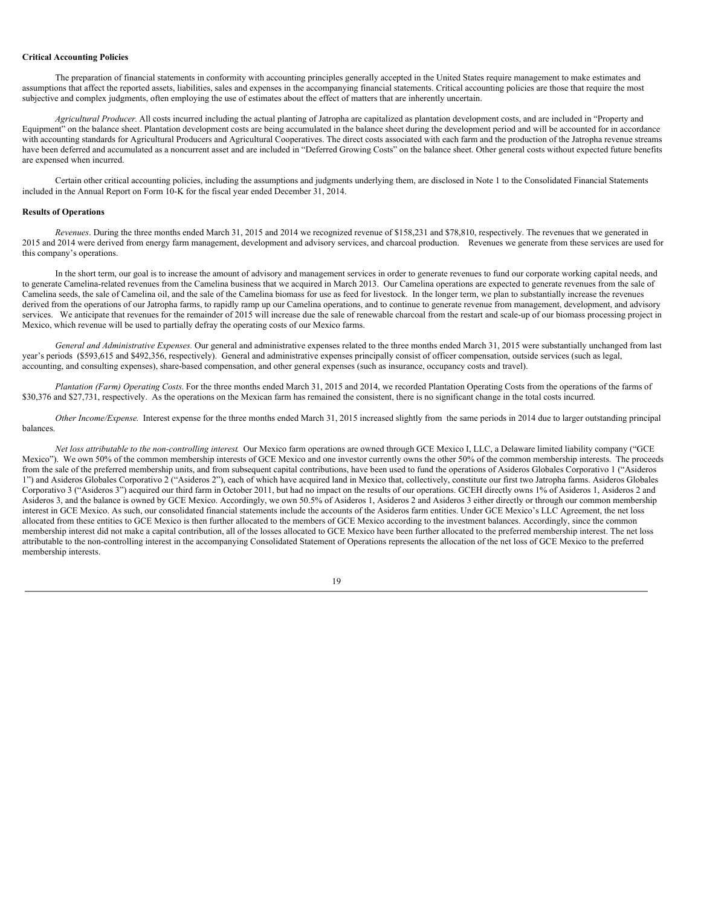## **Critical Accounting Policies**

The preparation of financial statements in conformity with accounting principles generally accepted in the United States require management to make estimates and assumptions that affect the reported assets, liabilities, sales and expenses in the accompanying financial statements. Critical accounting policies are those that require the most subjective and complex judgments, often employing the use of estimates about the effect of matters that are inherently uncertain.

*Agricultural Producer.* All costs incurred including the actual planting of Jatropha are capitalized as plantation development costs, and are included in "Property and Equipment" on the balance sheet. Plantation development costs are being accumulated in the balance sheet during the development period and will be accounted for in accordance with accounting standards for Agricultural Producers and Agricultural Cooperatives. The direct costs associated with each farm and the production of the Jatropha revenue streams have been deferred and accumulated as a noncurrent asset and are included in "Deferred Growing Costs" on the balance sheet. Other general costs without expected future benefits are expensed when incurred.

Certain other critical accounting policies, including the assumptions and judgments underlying them, are disclosed in Note 1 to the Consolidated Financial Statements included in the Annual Report on Form 10-K for the fiscal year ended December 31, 2014.

#### **Results of Operations**

*Revenues*. During the three months ended March 31, 2015 and 2014 we recognized revenue of \$158,231 and \$78,810, respectively. The revenues that we generated in 2015 and 2014 were derived from energy farm management, development and advisory services, and charcoal production. Revenues we generate from these services are used for this company's operations.

In the short term, our goal is to increase the amount of advisory and management services in order to generate revenues to fund our corporate working capital needs, and to generate Camelina-related revenues from the Camelina business that we acquired in March 2013. Our Camelina operations are expected to generate revenues from the sale of Camelina seeds, the sale of Camelina oil, and the sale of the Camelina biomass for use as feed for livestock. In the longer term, we plan to substantially increase the revenues derived from the operations of our Jatropha farms, to rapidly ramp up our Camelina operations, and to continue to generate revenue from management, development, and advisory services. We anticipate that revenues for the remainder of 2015 will increase due the sale of renewable charcoal from the restart and scale-up of our biomass processing project in Mexico, which revenue will be used to partially defray the operating costs of our Mexico farms.

*General and Administrative Expenses.* Our general and administrative expenses related to the three months ended March 31, 2015 were substantially unchanged from last year's periods (\$593,615 and \$492,356, respectively). General and administrative expenses principally consist of officer compensation, outside services (such as legal, accounting, and consulting expenses), share-based compensation, and other general expenses (such as insurance, occupancy costs and travel).

*Plantation (Farm) Operating Costs*. For the three months ended March 31, 2015 and 2014, we recorded Plantation Operating Costs from the operations of the farms of \$30,376 and \$27,731, respectively. As the operations on the Mexican farm has remained the consistent, there is no significant change in the total costs incurred.

*Other Income/Expense*. Interest expense for the three months ended March 31, 2015 increased slightly from the same periods in 2014 due to larger outstanding principal balances.

*Net loss attributable to the non-controlling interest*. Our Mexico farm operations are owned through GCE Mexico I, LLC, a Delaware limited liability company ("GCE Mexico"). We own 50% of the common membership interests of GCE Mexico and one investor currently owns the other 50% of the common membership interests. The proceeds from the sale of the preferred membership units, and from subsequent capital contributions, have been used to fund the operations of Asideros Globales Corporativo 1 ("Asideros") 1") and Asideros Globales Corporativo 2 ("Asideros 2"), each of which have acquired land in Mexico that, collectively, constitute our first two Jatropha farms. Asideros Globales Corporativo 3 ("Asideros 3") acquired our third farm in October 2011, but had no impact on the results of our operations. GCEH directly owns 1% of Asideros 1, Asideros 2 and Asideros 3, and the balance is owned by GCE Mexico. Accordingly, we own 50.5% of Asideros 1, Asideros 2 and Asideros 3 either directly or through our common membership interest in GCE Mexico. As such, our consolidated financial statements include the accounts of the Asideros farm entities. Under GCE Mexico's LLC Agreement, the net loss allocated from these entities to GCE Mexico is then further allocated to the members of GCE Mexico according to the investment balances. Accordingly, since the common membership interest did not make a capital contribution, all of the losses allocated to GCE Mexico have been further allocated to the preferred membership interest. The net loss attributable to the non-controlling interest in the accompanying Consolidated Statement of Operations represents the allocation of the net loss of GCE Mexico to the preferred membership interests.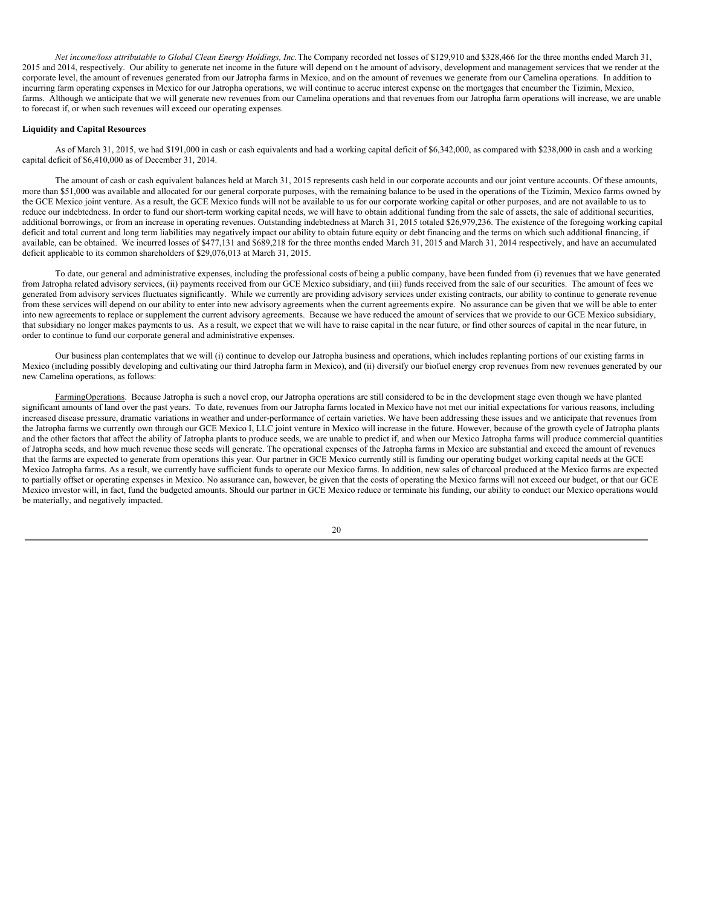*Net income/loss attributable to Global Clean Energy Holdings, Inc.*The Company recorded net losses of \$129,910 and \$328,466 for the three months ended March 31, 2015 and 2014, respectively. Our ability to generate net income in the future will depend on t he amount of advisory, development and management services that we render at the corporate level, the amount of revenues generated from our Jatropha farms in Mexico, and on the amount of revenues we generate from our Camelina operations. In addition to incurring farm operating expenses in Mexico for our Jatropha operations, we will continue to accrue interest expense on the mortgages that encumber the Tizimin, Mexico, farms. Although we anticipate that we will generate new revenues from our Camelina operations and that revenues from our Jatropha farm operations will increase, we are unable to forecast if, or when such revenues will exceed our operating expenses.

#### **Liquidity and Capital Resources**

As of March 31, 2015, we had \$191,000 in cash or cash equivalents and had a working capital deficit of \$6,342,000, as compared with \$238,000 in cash and a working capital deficit of \$6,410,000 as of December 31, 2014.

The amount of cash or cash equivalent balances held at March 31, 2015 represents cash held in our corporate accounts and our joint venture accounts. Of these amounts, more than \$51,000 was available and allocated for our general corporate purposes, with the remaining balance to be used in the operations of the Tizimin, Mexico farms owned by the GCE Mexico joint venture. As a result, the GCE Mexico funds will not be available to us for our corporate working capital or other purposes, and are not available to us to reduce our indebtedness. In order to fund our short-term working capital needs, we will have to obtain additional funding from the sale of assets, the sale of additional securities, additional borrowings, or from an increase in operating revenues. Outstanding indebtedness at March 31, 2015 totaled \$26,979,236. The existence of the foregoing working capital deficit and total current and long term liabilities may negatively impact our ability to obtain future equity or debt financing and the terms on which such additional financing, if available, can be obtained. We incurred losses of \$477,131 and \$689,218 for the three months ended March 31, 2015 and March 31, 2014 respectively, and have an accumulated deficit applicable to its common shareholders of \$29,076,013 at March 31, 2015.

To date, our general and administrative expenses, including the professional costs of being a public company, have been funded from (i) revenues that we have generated from Jatropha related advisory services, (ii) payments received from our GCE Mexico subsidiary, and (iii) funds received from the sale of our securities. The amount of fees we generated from advisory services fluctuates significantly. While we currently are providing advisory services under existing contracts, our ability to continue to generate revenue from these services will depend on our ability to enter into new advisory agreements when the current agreements expire. No assurance can be given that we will be able to enter into new agreements to replace or supplement the current advisory agreements. Because we have reduced the amount of services that we provide to our GCE Mexico subsidiary, that subsidiary no longer makes payments to us. As a result, we expect that we will have to raise capital in the near future, or find other sources of capital in the near future, in order to continue to fund our corporate general and administrative expenses.

Our business plan contemplates that we will (i) continue to develop our Jatropha business and operations, which includes replanting portions of our existing farms in Mexico (including possibly developing and cultivating our third Jatropha farm in Mexico), and (ii) diversify our biofuel energy crop revenues from new revenues generated by our new Camelina operations, as follows:

FarmingOperations. Because Jatropha is such a novel crop, our Jatropha operations are still considered to be in the development stage even though we have planted significant amounts of land over the past years. To date, revenues from our Jatropha farms located in Mexico have not met our initial expectations for various reasons, including increased disease pressure, dramatic variations in weather and under-performance of certain varieties. We have been addressing these issues and we anticipate that revenues from the Jatropha farms we currently own through our GCE Mexico I, LLC joint venture in Mexico will increase in the future. However, because of the growth cycle of Jatropha plants and the other factors that affect the ability of Jatropha plants to produce seeds, we are unable to predict if, and when our Mexico Jatropha farms will produce commercial quantities of Jatropha seeds, and how much revenue those seeds will generate. The operational expenses of the Jatropha farms in Mexico are substantial and exceed the amount of revenues that the farms are expected to generate from operations this year. Our partner in GCE Mexico currently still is funding our operating budget working capital needs at the GCE Mexico Jatropha farms. As a result, we currently have sufficient funds to operate our Mexico farms. In addition, new sales of charcoal produced at the Mexico farms are expected to partially offset or operating expenses in Mexico. No assurance can, however, be given that the costs of operating the Mexico farms will not exceed our budget, or that our GCE Mexico investor will, in fact, fund the budgeted amounts. Should our partner in GCE Mexico reduce or terminate his funding, our ability to conduct our Mexico operations would be materially, and negatively impacted.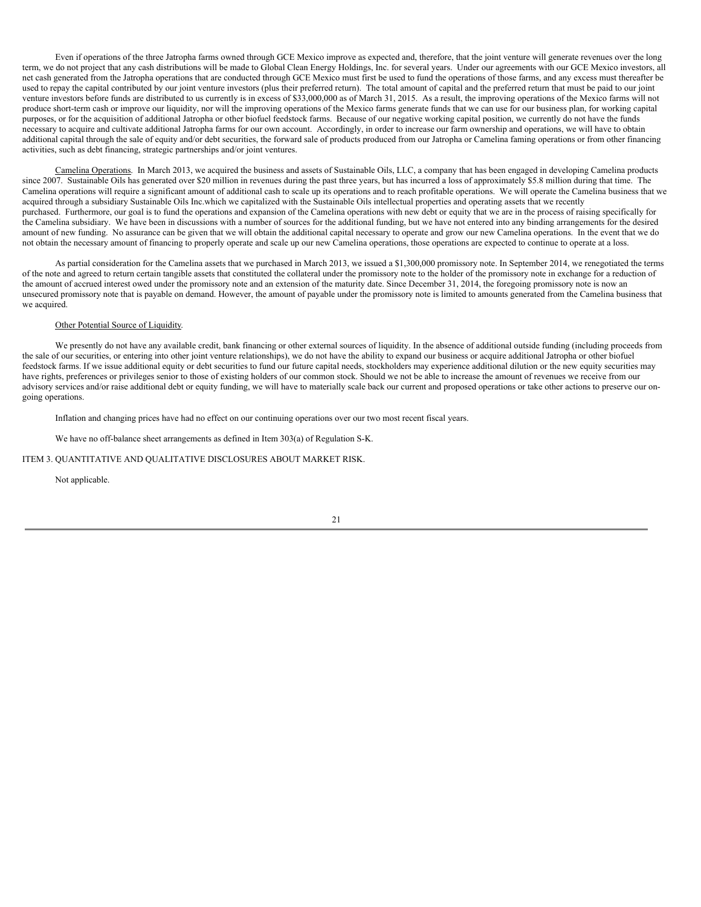Even if operations of the three Jatropha farms owned through GCE Mexico improve as expected and, therefore, that the joint venture will generate revenues over the long term, we do not project that any cash distributions will be made to Global Clean Energy Holdings, Inc. for several years. Under our agreements with our GCE Mexico investors, all net cash generated from the Jatropha operations that are conducted through GCE Mexico must first be used to fund the operations of those farms, and any excess must thereafter be used to repay the capital contributed by our joint venture investors (plus their preferred return). The total amount of capital and the preferred return that must be paid to our joint venture investors before funds are distributed to us currently is in excess of \$33,000,000 as of March 31, 2015. As a result, the improving operations of the Mexico farms will not produce short-term cash or improve our liquidity, nor will the improving operations of the Mexico farms generate funds that we can use for our business plan, for working capital purposes, or for the acquisition of additional Jatropha or other biofuel feedstock farms. Because of our negative working capital position, we currently do not have the funds necessary to acquire and cultivate additional Jatropha farms for our own account. Accordingly, in order to increase our farm ownership and operations, we will have to obtain additional capital through the sale of equity and/or debt securities, the forward sale of products produced from our Jatropha or Camelina faming operations or from other financing activities, such as debt financing, strategic partnerships and/or joint ventures.

Camelina Operations. In March 2013, we acquired the business and assets of Sustainable Oils, LLC, a company that has been engaged in developing Camelina products since 2007. Sustainable Oils has generated over \$20 million in revenues during the past three years, but has incurred a loss of approximately \$5.8 million during that time. The Camelina operations will require a significant amount of additional cash to scale up its operations and to reach profitable operations. We will operate the Camelina business that we acquired through a subsidiary Sustainable Oils Inc.which we capitalized with the Sustainable Oils intellectual properties and operating assets that we recently purchased. Furthermore, our goal is to fund the operations and expansion of the Camelina operations with new debt or equity that we are in the process of raising specifically for the Camelina subsidiary. We have been in discussions with a number of sources for the additional funding, but we have not entered into any binding arrangements for the desired amount of new funding. No assurance can be given that we will obtain the additional capital necessary to operate and grow our new Camelina operations. In the event that we do not obtain the necessary amount of financing to properly operate and scale up our new Camelina operations, those operations are expected to continue to operate at a loss.

As partial consideration for the Camelina assets that we purchased in March 2013, we issued a \$1,300,000 promissory note. In September 2014, we renegotiated the terms of the note and agreed to return certain tangible assets that constituted the collateral under the promissory note to the holder of the promissory note in exchange for a reduction of the amount of accrued interest owed under the promissory note and an extension of the maturity date. Since December 31, 2014, the foregoing promissory note is now an unsecured promissory note that is payable on demand. However, the amount of payable under the promissory note is limited to amounts generated from the Camelina business that we acquired.

#### Other Potential Source of Liquidity.

We presently do not have any available credit, bank financing or other external sources of liquidity. In the absence of additional outside funding (including proceeds from the sale of our securities, or entering into other joint venture relationships), we do not have the ability to expand our business or acquire additional Jatropha or other biofuel feedstock farms. If we issue additional equity or debt securities to fund our future capital needs, stockholders may experience additional dilution or the new equity securities may have rights, preferences or privileges senior to those of existing holders of our common stock. Should we not be able to increase the amount of revenues we receive from our advisory services and/or raise additional debt or equity funding, we will have to materially scale back our current and proposed operations or take other actions to preserve our ongoing operations.

Inflation and changing prices have had no effect on our continuing operations over our two most recent fiscal years.

We have no off-balance sheet arrangements as defined in Item 303(a) of Regulation S-K.

#### ITEM 3. QUANTITATIVE AND QUALITATIVE DISCLOSURES ABOUT MARKET RISK.

Not applicable.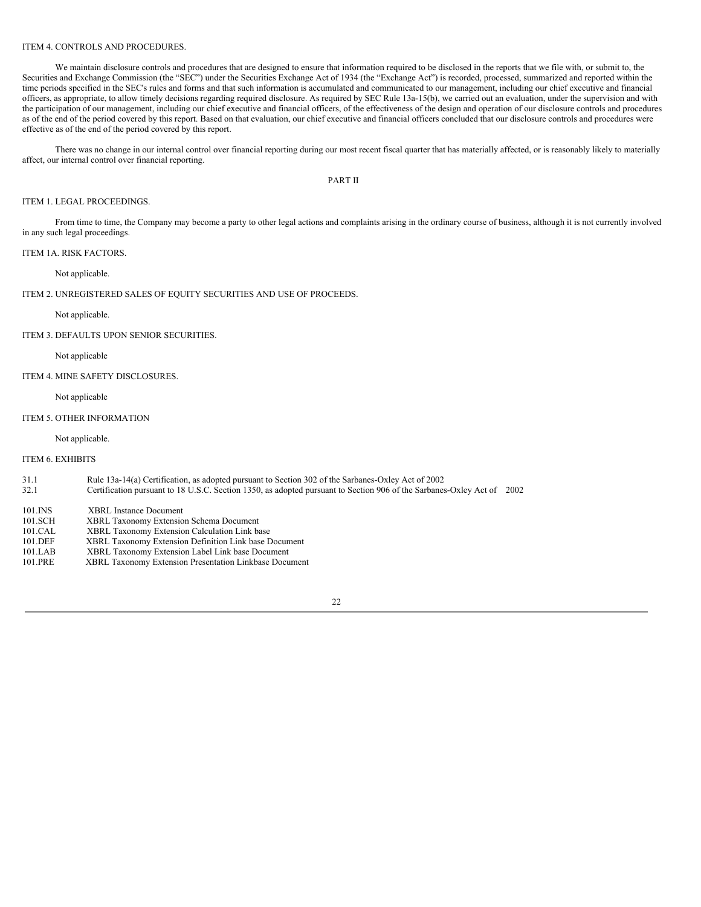# ITEM 4. CONTROLS AND PROCEDURES.

We maintain disclosure controls and procedures that are designed to ensure that information required to be disclosed in the reports that we file with, or submit to, the Securities and Exchange Commission (the "SEC") under the Securities Exchange Act of 1934 (the "Exchange Act") is recorded, processed, summarized and reported within the time periods specified in the SEC's rules and forms and that such information is accumulated and communicated to our management, including our chief executive and financial officers, as appropriate, to allow timely decisions regarding required disclosure. As required by SEC Rule 13a-15(b), we carried out an evaluation, under the supervision and with the participation of our management, including our chief executive and financial officers, of the effectiveness of the design and operation of our disclosure controls and procedures as of the end of the period covered by this report. Based on that evaluation, our chief executive and financial officers concluded that our disclosure controls and procedures were effective as of the end of the period covered by this report.

There was no change in our internal control over financial reporting during our most recent fiscal quarter that has materially affected, or is reasonably likely to materially affect, our internal control over financial reporting.

PART II

#### ITEM 1. LEGAL PROCEEDINGS.

From time to time, the Company may become a party to other legal actions and complaints arising in the ordinary course of business, although it is not currently involved in any such legal proceedings.

## ITEM 1A. RISK FACTORS.

Not applicable.

ITEM 2. UNREGISTERED SALES OF EQUITY SECURITIES AND USE OF PROCEEDS.

#### Not applicable.

#### ITEM 3. DEFAULTS UPON SENIOR SECURITIES.

#### Not applicable

ITEM 4. MINE SAFETY DISCLOSURES.

#### Not applicable

# ITEM 5. OTHER INFORMATION

## Not applicable.

# ITEM 6. EXHIBITS

| 31.1 |  |  |  |  | Rule 13a-14(a) Certification, as adopted pursuant to Section 302 of the Sarbanes-Oxley Act of 2002 |
|------|--|--|--|--|----------------------------------------------------------------------------------------------------|
|------|--|--|--|--|----------------------------------------------------------------------------------------------------|

32.1 Certification pursuant to 18 U.S.C. Section 1350, as adopted pursuant to Section 906 of the Sarbanes-Oxley Act of 2002

- 101.INS XBRL Instance Document<br>101.SCH XBRL Taxonomy Extensio
- XBRL Taxonomy Extension Schema Document
- 101.CAL XBRL Taxonomy Extension Calculation Link base<br>101.DEF XBRL Taxonomy Extension Definition Link base D
- 101.DEF XBRL Taxonomy Extension Definition Link base Document<br>101 LAB XBRL Taxonomy Extension Label Link base Document
- 101.LAB XBRL Taxonomy Extension Label Link base Document<br>101.PRE XBRL Taxonomy Extension Presentation Linkbase Docu
- XBRL Taxonomy Extension Presentation Linkbase Document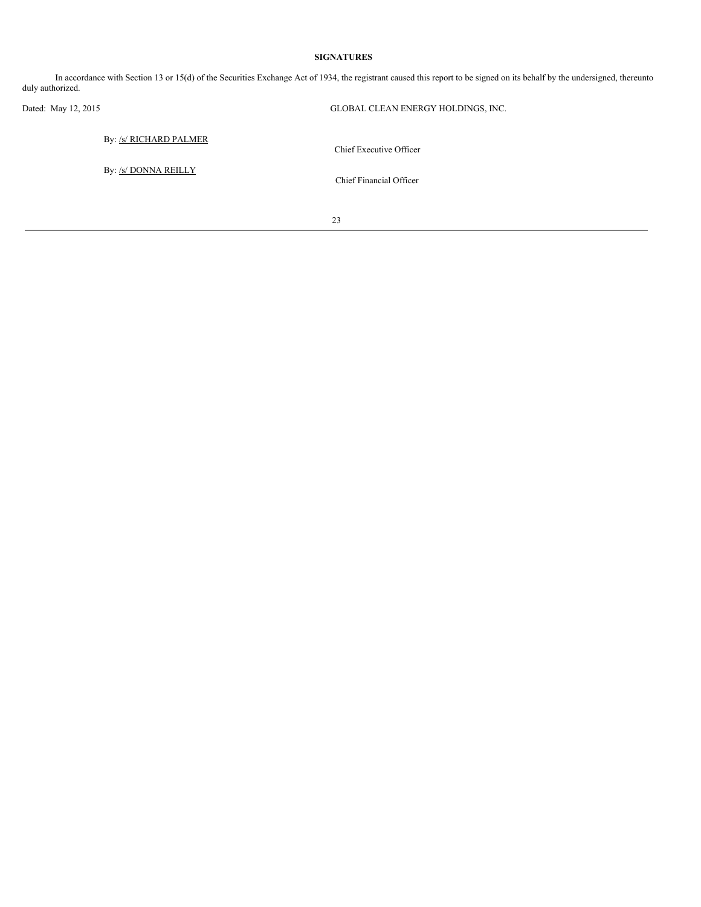# **SIGNATURES**

In accordance with Section 13 or 15(d) of the Securities Exchange Act of 1934, the registrant caused this report to be signed on its behalf by the undersigned, thereunto duly authorized.

# By: /s/ RICHARD PALMER

By: /s/ DONNA REILLY

Dated: May 12, 2015 GLOBAL CLEAN ENERGY HOLDINGS, INC.

Chief Executive Officer

Chief Financial Officer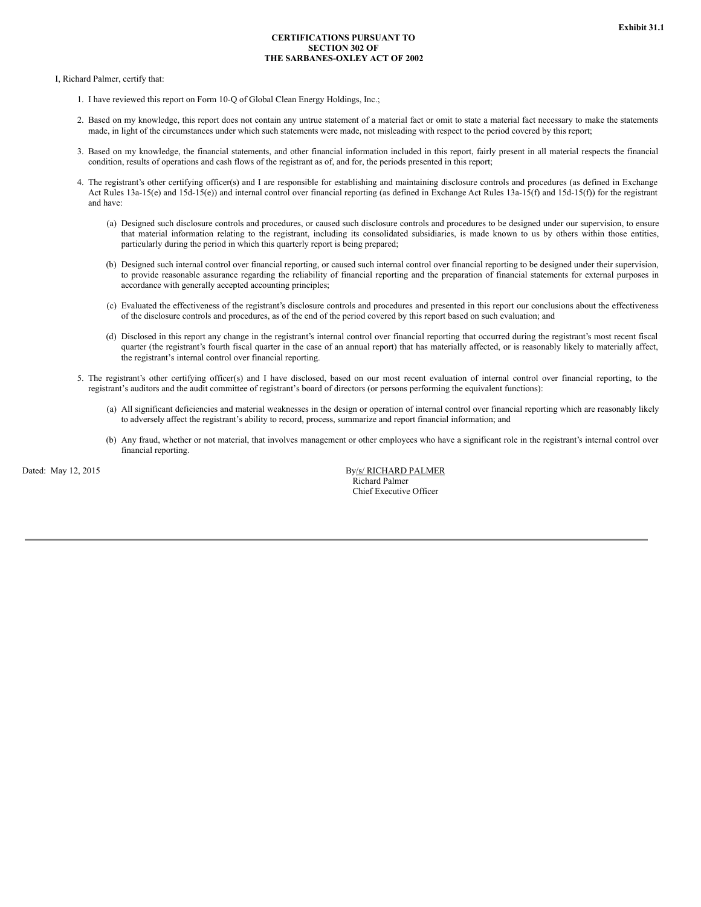# **CERTIFICATIONS PURSUANT TO SECTION 302 OF THE SARBANES-OXLEY ACT OF 2002**

I, Richard Palmer, certify that:

- 1. I have reviewed this report on Form 10-Q of Global Clean Energy Holdings, Inc.;
- 2. Based on my knowledge, this report does not contain any untrue statement of a material fact or omit to state a material fact necessary to make the statements made, in light of the circumstances under which such statements were made, not misleading with respect to the period covered by this report;
- 3. Based on my knowledge, the financial statements, and other financial information included in this report, fairly present in all material respects the financial condition, results of operations and cash flows of the registrant as of, and for, the periods presented in this report;
- 4. The registrant's other certifying officer(s) and I are responsible for establishing and maintaining disclosure controls and procedures (as defined in Exchange Act Rules 13a-15(e) and 15d-15(e)) and internal control over financial reporting (as defined in Exchange Act Rules 13a-15(f) and 15d-15(f)) for the registrant and have:
	- (a) Designed such disclosure controls and procedures, or caused such disclosure controls and procedures to be designed under our supervision, to ensure that material information relating to the registrant, including its consolidated subsidiaries, is made known to us by others within those entities, particularly during the period in which this quarterly report is being prepared;
	- (b) Designed such internal control over financial reporting, or caused such internal control over financial reporting to be designed under their supervision, to provide reasonable assurance regarding the reliability of financial reporting and the preparation of financial statements for external purposes in accordance with generally accepted accounting principles;
	- (c) Evaluated the effectiveness of the registrant's disclosure controls and procedures and presented in this report our conclusions about the effectiveness of the disclosure controls and procedures, as of the end of the period covered by this report based on such evaluation; and
	- (d) Disclosed in this report any change in the registrant's internal control over financial reporting that occurred during the registrant's most recent fiscal quarter (the registrant's fourth fiscal quarter in the case of an annual report) that has materially affected, or is reasonably likely to materially affect, the registrant's internal control over financial reporting.
- 5. The registrant's other certifying officer(s) and I have disclosed, based on our most recent evaluation of internal control over financial reporting, to the registrant's auditors and the audit committee of registrant's board of directors (or persons performing the equivalent functions):
	- (a) All significant deficiencies and material weaknesses in the design or operation of internal control over financial reporting which are reasonably likely to adversely affect the registrant's ability to record, process, summarize and report financial information; and
	- (b) Any fraud, whether or not material, that involves management or other employees who have a significant role in the registrant's internal control over financial reporting.

Dated: May 12, 2015 By/s/ RICHARD PALMER Richard Palmer Chief Executive Officer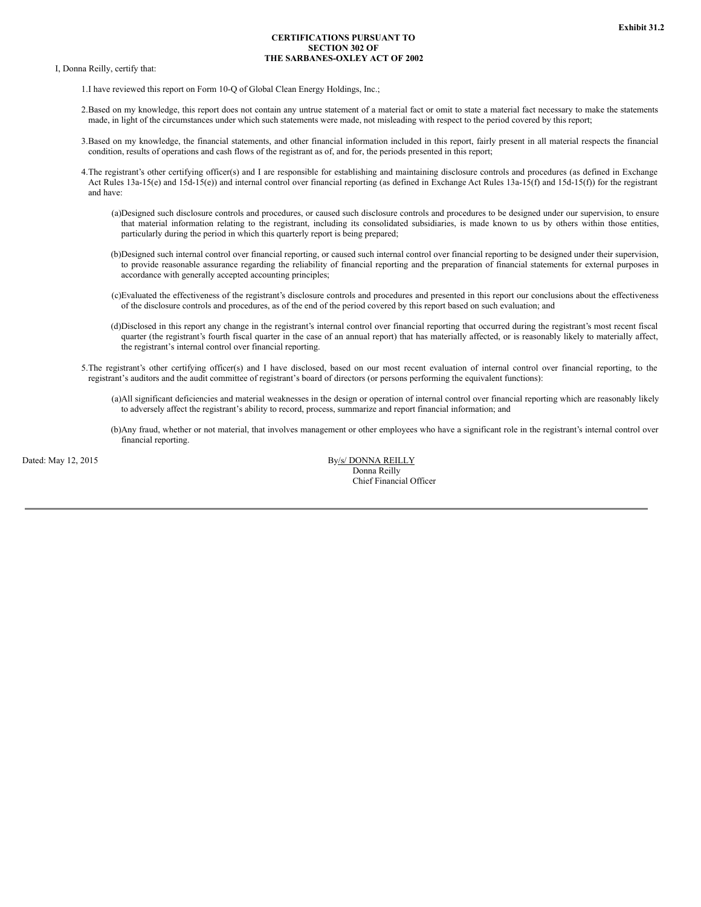# **CERTIFICATIONS PURSUANT TO SECTION 302 OF THE SARBANES-OXLEY ACT OF 2002**

I, Donna Reilly, certify that:

1.I have reviewed this report on Form 10-Q of Global Clean Energy Holdings, Inc.;

- 2.Based on my knowledge, this report does not contain any untrue statement of a material fact or omit to state a material fact necessary to make the statements made, in light of the circumstances under which such statements were made, not misleading with respect to the period covered by this report;
- 3.Based on my knowledge, the financial statements, and other financial information included in this report, fairly present in all material respects the financial condition, results of operations and cash flows of the registrant as of, and for, the periods presented in this report;
- 4.The registrant's other certifying officer(s) and I are responsible for establishing and maintaining disclosure controls and procedures (as defined in Exchange Act Rules 13a-15(e) and 15d-15(e)) and internal control over financial reporting (as defined in Exchange Act Rules 13a-15(f) and 15d-15(f)) for the registrant and have:
	- (a)Designed such disclosure controls and procedures, or caused such disclosure controls and procedures to be designed under our supervision, to ensure that material information relating to the registrant, including its consolidated subsidiaries, is made known to us by others within those entities, particularly during the period in which this quarterly report is being prepared;
	- (b)Designed such internal control over financial reporting, or caused such internal control over financial reporting to be designed under their supervision, to provide reasonable assurance regarding the reliability of financial reporting and the preparation of financial statements for external purposes in accordance with generally accepted accounting principles;
	- (c)Evaluated the effectiveness of the registrant's disclosure controls and procedures and presented in this report our conclusions about the effectiveness of the disclosure controls and procedures, as of the end of the period covered by this report based on such evaluation; and
	- (d)Disclosed in this report any change in the registrant's internal control over financial reporting that occurred during the registrant's most recent fiscal quarter (the registrant's fourth fiscal quarter in the case of an annual report) that has materially affected, or is reasonably likely to materially affect, the registrant's internal control over financial reporting.
- 5.The registrant's other certifying officer(s) and I have disclosed, based on our most recent evaluation of internal control over financial reporting, to the registrant's auditors and the audit committee of registrant's board of directors (or persons performing the equivalent functions):
	- (a)All significant deficiencies and material weaknesses in the design or operation of internal control over financial reporting which are reasonably likely to adversely affect the registrant's ability to record, process, summarize and report financial information; and
	- (b)Any fraud, whether or not material, that involves management or other employees who have a significant role in the registrant's internal control over financial reporting.

Dated: May 12, 2015 By/s/ DONNA REILLY Donna Reilly Chief Financial Officer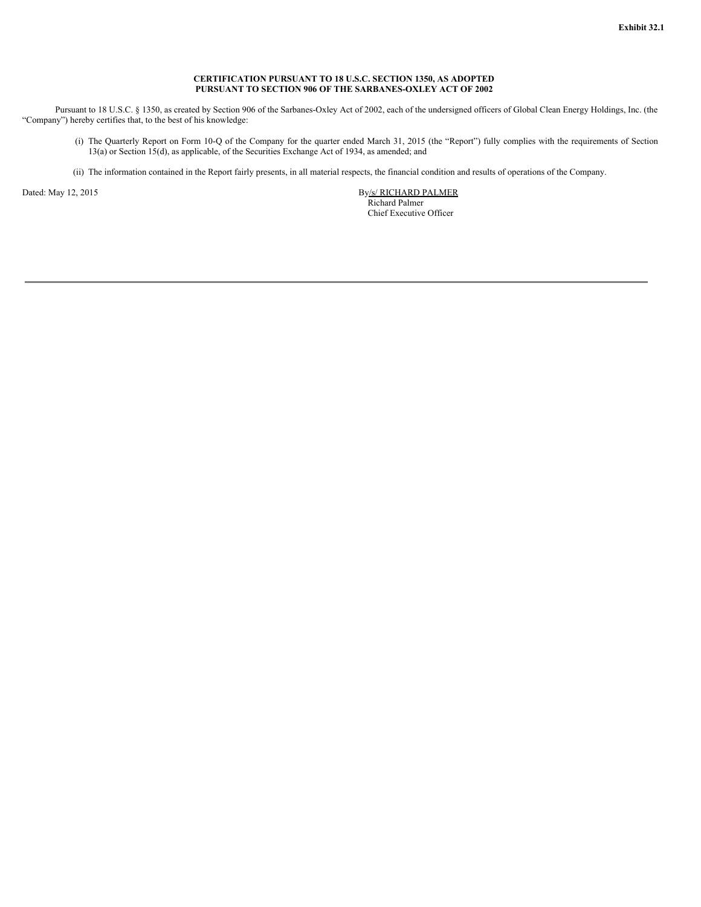# **CERTIFICATION PURSUANT TO 18 U.S.C. SECTION 1350, AS ADOPTED PURSUANT TO SECTION 906 OF THE SARBANES-OXLEY ACT OF 2002**

Pursuant to 18 U.S.C. § 1350, as created by Section 906 of the Sarbanes-Oxley Act of 2002, each of the undersigned officers of Global Clean Energy Holdings, Inc. (the "Company") hereby certifies that, to the best of his knowledge:

- (i) The Quarterly Report on Form 10-Q of the Company for the quarter ended March 31, 2015 (the "Report") fully complies with the requirements of Section 13(a) or Section 15(d), as applicable, of the Securities Exchange Act of 1934, as amended; and
- (ii) The information contained in the Report fairly presents, in all material respects, the financial condition and results of operations of the Company.

Dated: May 12, 2015 By/s/ RICHARD PALMER Richard Palmer Chief Executive Officer